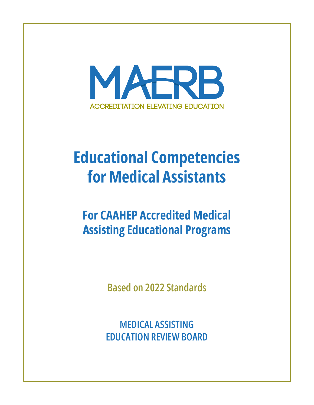

# **Educational Competencies for Medical Assistants**

**For CAAHEP Accredited Medical Assisting Educational Programs**

**Based on 2022 Standards**

**MEDICAL ASSISTING EDUCATION REVIEW BOARD**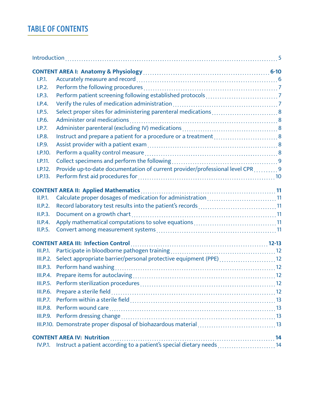#### **TABLE OF CONTENTS**

| I.P.1.         |                                                                                      |  |
|----------------|--------------------------------------------------------------------------------------|--|
| I.P.2.         |                                                                                      |  |
| I.P.3.         |                                                                                      |  |
| I.P.4.         |                                                                                      |  |
| I.P.5.         | Select proper sites for administering parenteral medications  8                      |  |
| I.P.6.         |                                                                                      |  |
| I.P.7.         |                                                                                      |  |
| I.P.8.         | Instruct and prepare a patient for a procedure or a treatment 8                      |  |
| I.P.9.         |                                                                                      |  |
| I.P.10.        |                                                                                      |  |
| I.P.11.        |                                                                                      |  |
| I.P.12.        | Provide up-to-date documentation of current provider/professional level CPR 9        |  |
| I.P.13.        |                                                                                      |  |
|                |                                                                                      |  |
| II.P.1.        | Calculate proper dosages of medication for administration 11                         |  |
| II.P.2.        | Record laboratory test results into the patient's records 11                         |  |
| II.P.3.        |                                                                                      |  |
| II.P.4.        |                                                                                      |  |
| II.P.5.        |                                                                                      |  |
|                |                                                                                      |  |
|                |                                                                                      |  |
| III.P.1.       |                                                                                      |  |
| III.P.2.       | Select appropriate barrier/personal protective equipment (PPE) 12                    |  |
| III.P.3.       |                                                                                      |  |
| III.P.4.       |                                                                                      |  |
|                |                                                                                      |  |
|                |                                                                                      |  |
|                |                                                                                      |  |
|                |                                                                                      |  |
|                |                                                                                      |  |
|                |                                                                                      |  |
|                | <b>CONTENT AREA IV: Nutrition</b>                                                    |  |
| <b>IV.P.1.</b> | $\frac{1}{2}$<br>Instruct a patient according to a patient's special dietary needs14 |  |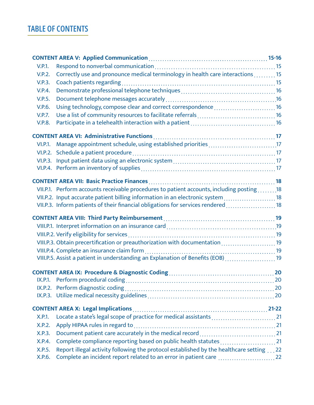#### **TABLE OF CONTENTS**

| V.P.1.        |                                                                                          |  |
|---------------|------------------------------------------------------------------------------------------|--|
| <b>V.P.2.</b> | Correctly use and pronounce medical terminology in health care interactions 15           |  |
| <b>V.P.3.</b> |                                                                                          |  |
| <b>V.P.4.</b> |                                                                                          |  |
| V.P.5.        |                                                                                          |  |
| V.P.6.        | Using technology, compose clear and correct correspondence 16                            |  |
| <b>V.P.7.</b> |                                                                                          |  |
| <b>V.P.8.</b> |                                                                                          |  |
|               |                                                                                          |  |
|               |                                                                                          |  |
| VI.P.1.       |                                                                                          |  |
|               |                                                                                          |  |
|               |                                                                                          |  |
|               |                                                                                          |  |
|               |                                                                                          |  |
|               | VII.P.1. Perform accounts receivable procedures to patient accounts, including posting18 |  |
|               | VII.P.2. Input accurate patient billing information in an electronic system 18           |  |
|               | VII.P.3. Inform patients of their financial obligations for services rendered  18        |  |
|               |                                                                                          |  |
|               |                                                                                          |  |
|               |                                                                                          |  |
|               | VIII.P.3. Obtain precertification or preauthorization with documentation 19              |  |
|               |                                                                                          |  |
|               | VIII.P.5. Assist a patient in understanding an Explanation of Benefits (EOB) 19          |  |
|               |                                                                                          |  |
|               |                                                                                          |  |
|               |                                                                                          |  |
|               |                                                                                          |  |
|               |                                                                                          |  |
|               |                                                                                          |  |
| X.P.1.        |                                                                                          |  |
| X.P.2.        |                                                                                          |  |
| X.P.3.        |                                                                                          |  |
| X.P.4.        | Complete compliance reporting based on public health statutes21                          |  |
| X.P.5.        | Report illegal activity following the protocol established by the healthcare setting 22  |  |
| X.P.6.        | Complete an incident report related to an error in patient care  22                      |  |
|               |                                                                                          |  |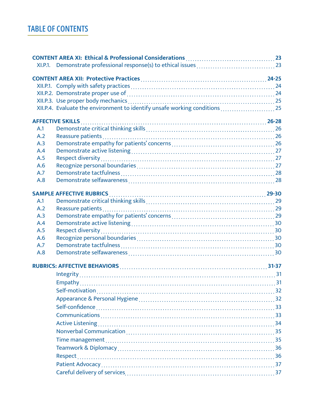#### **TABLE OF CONTENTS**

|     | XII.P.4. Evaluate the environment to identify unsafe working conditions  25 |  |
|-----|-----------------------------------------------------------------------------|--|
|     |                                                                             |  |
| A.1 |                                                                             |  |
| A.2 |                                                                             |  |
| A.3 |                                                                             |  |
| A.4 |                                                                             |  |
| A.5 |                                                                             |  |
| A.6 |                                                                             |  |
| A.7 |                                                                             |  |
| A.8 |                                                                             |  |
|     |                                                                             |  |
| A.1 |                                                                             |  |
| A.2 |                                                                             |  |
| A.3 |                                                                             |  |
| A.4 |                                                                             |  |
| A.5 |                                                                             |  |
| A.6 |                                                                             |  |
| A.7 |                                                                             |  |
| A.8 |                                                                             |  |
|     |                                                                             |  |
|     |                                                                             |  |
|     |                                                                             |  |
|     |                                                                             |  |
|     |                                                                             |  |
|     |                                                                             |  |
|     |                                                                             |  |
|     |                                                                             |  |
|     |                                                                             |  |
|     |                                                                             |  |
|     |                                                                             |  |
|     |                                                                             |  |
|     |                                                                             |  |
|     |                                                                             |  |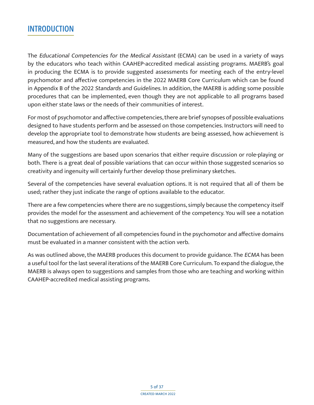#### <span id="page-4-0"></span>**INTRODUCTION**

The Educational Competencies for the Medical Assistant (ECMA) can be used in a variety of ways by the educators who teach within CAAHEP-accredited medical assisting programs. MAERB's goal in producing the ECMA is to provide suggested assessments for meeting each of the entry-level psychomotor and affective competencies in the 2022 MAERB Core Curriculum which can be found in Appendix B of the 2022 Standards and Guidelines. In addition, the MAERB is adding some possible procedures that can be implemented, even though they are not applicable to all programs based upon either state laws or the needs of their communities of interest.

For most of psychomotor and affective competencies, there are brief synopses of possible evaluations designed to have students perform and be assessed on those competencies. Instructors will need to develop the appropriate tool to demonstrate how students are being assessed, how achievement is measured, and how the students are evaluated.

Many of the suggestions are based upon scenarios that either require discussion or role-playing or both. There is a great deal of possible variations that can occur within those suggested scenarios so creativity and ingenuity will certainly further develop those preliminary sketches.

Several of the competencies have several evaluation options. It is not required that all of them be used; rather they just indicate the range of options available to the educator.

There are a few competencies where there are no suggestions, simply because the competency itself provides the model for the assessment and achievement of the competency. You will see a notation that no suggestions are necessary.

Documentation of achievement of all competencies found in the psychomotor and affective domains must be evaluated in a manner consistent with the action verb.

As was outlined above, the MAERB produces this document to provide guidance. The ECMA has been a useful tool for the last several iterations of the MAERB Core Curriculum. To expand the dialogue, the MAERB is always open to suggestions and samples from those who are teaching and working within CAAHEP-accredited medical assisting programs.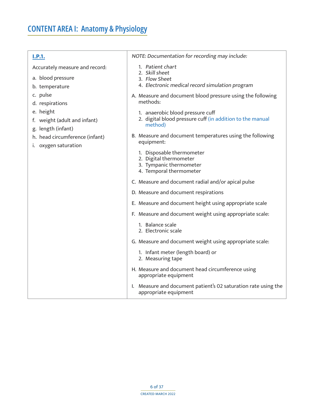<span id="page-5-1"></span><span id="page-5-0"></span>

| and the | n, | . . | - 50 |  |
|---------|----|-----|------|--|

Accurately measure and record:

- a. blood pressure
- b. temperature
- c. pulse
- d. respirations
- e. height
- f. weight (adult and infant)
- g. length (infant)
- h. head circumference (infant)
- i. oxygen saturation

NOTE: Documentation for recording may include:

- 1. Patient chart
- 2. Skill sheet
- 3. Flow Sheet
- 4. Electronic medical record simulation program
- A. Measure and document blood pressure using the following methods:
	- 1. anaerobic blood pressure cuff
	- 2. digital blood pressure cuff (in addition to the manual method)
- B. Measure and document temperatures using the following equipment:
	- 1. Disposable thermometer
	- 2. Digital thermometer
	- 3. Tympanic thermometer
	- 4. Temporal thermometer
- C. Measure and document radial and/or apical pulse
- D. Measure and document respirations
- E. Measure and document height using appropriate scale
- F. Measure and document weight using appropriate scale:
	- 1. Balance scale
	- 2. Electronic scale
- G. Measure and document weight using appropriate scale:
	- 1. Infant meter (length board) or
	- 2. Measuring tape
- H. Measure and document head circumference using appropriate equipment
- I. Measure and document patient's 02 saturation rate using the appropriate equipment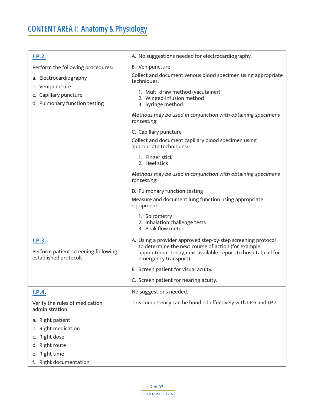<span id="page-6-2"></span><span id="page-6-1"></span><span id="page-6-0"></span>

| I.P.2.                                                                                               | A. No suggestions needed for electrocardiography.                                                                                                                                                                |
|------------------------------------------------------------------------------------------------------|------------------------------------------------------------------------------------------------------------------------------------------------------------------------------------------------------------------|
| Perform the following procedures:                                                                    | B. Venipuncture                                                                                                                                                                                                  |
| a. Electrocardiography<br>b. Venipuncture                                                            | Collect and document venous blood specimen using appropriate<br>techniques:                                                                                                                                      |
| c. Capillary puncture<br>d. Pulmonary function testing                                               | 1. Multi-draw method (vacutainer)<br>2. Winged-infusion method<br>3. Syringe method                                                                                                                              |
|                                                                                                      | Methods may be used in conjunction with obtaining specimens<br>for testing.                                                                                                                                      |
|                                                                                                      | C. Capillary puncture                                                                                                                                                                                            |
|                                                                                                      | Collect and document capillary blood specimen using<br>appropriate techniques:                                                                                                                                   |
|                                                                                                      | 1. Finger stick<br>2. Heel stick                                                                                                                                                                                 |
|                                                                                                      | Methods may be used in conjunction with obtaining specimens<br>for testing.                                                                                                                                      |
|                                                                                                      | D. Pulmonary function testing                                                                                                                                                                                    |
|                                                                                                      | Measure and document lung function using appropriate<br>equipment:                                                                                                                                               |
|                                                                                                      | 1. Spirometry<br>2. Inhalation challenge tests<br>3. Peak flow meter                                                                                                                                             |
| I.P.3.<br>Perform patient screening following<br>established protocols                               | A. Using a provider approved step-by-step screening protocol<br>to determine the next course of action (for example,<br>appointment today, next available, report to hospital, call for<br>emergency transport). |
|                                                                                                      | B. Screen patient for visual acuity.                                                                                                                                                                             |
|                                                                                                      | C. Screen patient for hearing acuity.                                                                                                                                                                            |
| <u>I.P.4.</u>                                                                                        | No suggestions needed.                                                                                                                                                                                           |
| Verify the rules of medication<br>administration:                                                    | This competency can be bundled effectively with I.P.6 and I.P.7                                                                                                                                                  |
| a. Right patient<br>Right medication<br>b.<br>Right dose<br>C.<br>Right route<br>d.<br>e. Right time |                                                                                                                                                                                                                  |
| f. Right documentation                                                                               |                                                                                                                                                                                                                  |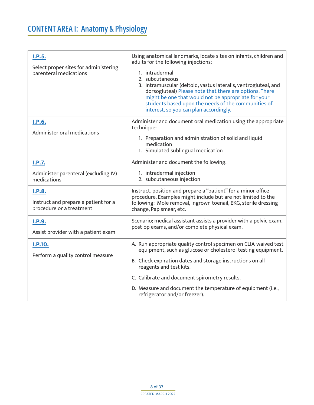<span id="page-7-5"></span><span id="page-7-4"></span><span id="page-7-3"></span><span id="page-7-2"></span><span id="page-7-1"></span><span id="page-7-0"></span>

| I.P.5.<br>Select proper sites for administering<br>parenteral medications         | Using anatomical landmarks, locate sites on infants, children and<br>adults for the following injections:<br>1. intradermal<br>2. subcutaneous<br>3. intramuscular (deltoid, vastus lateralis, ventrogluteal, and<br>dorsogluteal) Please note that there are options. There<br>might be one that would not be appropriate for your<br>students based upon the needs of the communities of<br>interest, so you can plan accordingly. |
|-----------------------------------------------------------------------------------|--------------------------------------------------------------------------------------------------------------------------------------------------------------------------------------------------------------------------------------------------------------------------------------------------------------------------------------------------------------------------------------------------------------------------------------|
| <u>I.P.6.</u><br>Administer oral medications                                      | Administer and document oral medication using the appropriate<br>technique:<br>1. Preparation and administration of solid and liquid<br>medication<br>1. Simulated sublingual medication                                                                                                                                                                                                                                             |
| I.P.7.                                                                            | Administer and document the following:                                                                                                                                                                                                                                                                                                                                                                                               |
| Administer parenteral (excluding IV)<br>medications                               | 1. intradermal injection<br>2. subcutaneous injection                                                                                                                                                                                                                                                                                                                                                                                |
| <b>I.P.8.</b><br>Instruct and prepare a patient for a<br>procedure or a treatment | Instruct, position and prepare a "patient" for a minor office<br>procedure. Examples might include but are not limited to the<br>following: Mole removal, ingrown toenail, EKG, sterile dressing<br>change, Pap smear, etc.                                                                                                                                                                                                          |
| <b>I.P.9.</b><br>Assist provider with a patient exam                              | Scenario; medical assistant assists a provider with a pelvic exam,<br>post-op exams, and/or complete physical exam.                                                                                                                                                                                                                                                                                                                  |
| I.P.10.<br>Perform a quality control measure                                      | A. Run appropriate quality control specimen on CLIA-waived test<br>equipment, such as glucose or cholesterol testing equipment.                                                                                                                                                                                                                                                                                                      |
|                                                                                   | B. Check expiration dates and storage instructions on all<br>reagents and test kits.                                                                                                                                                                                                                                                                                                                                                 |
|                                                                                   | C. Calibrate and document spirometry results.                                                                                                                                                                                                                                                                                                                                                                                        |
|                                                                                   | D. Measure and document the temperature of equipment (i.e.,<br>refrigerator and/or freezer).                                                                                                                                                                                                                                                                                                                                         |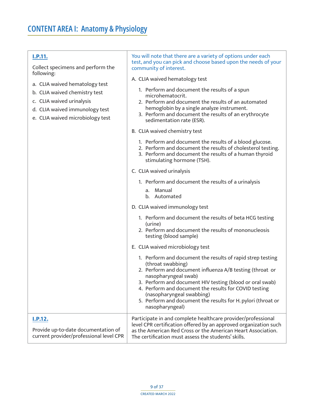<span id="page-8-1"></span><span id="page-8-0"></span>

| <b>I.P.11.</b><br>Collect specimens and perform the<br>following:<br>a. CLIA waived hematology test<br>b. CLIA waived chemistry test<br>c. CLIA waived urinalysis<br>d. CLIA waived immunology test<br>e. CLIA waived microbiology test | You will note that there are a variety of options under each<br>test, and you can pick and choose based upon the needs of your<br>community of interest.<br>A. CLIA waived hematology test<br>1. Perform and document the results of a spun<br>microhematocrit.<br>2. Perform and document the results of an automated<br>hemoglobin by a single analyze instrument.<br>3. Perform and document the results of an erythrocyte<br>sedimentation rate (ESR).<br>B. CLIA waived chemistry test<br>1. Perform and document the results of a blood glucose.<br>2. Perform and document the results of cholesterol testing.<br>3. Perform and document the results of a human thyroid<br>stimulating hormone (TSH).<br>C. CLIA waived urinalysis<br>1. Perform and document the results of a urinalysis<br>Manual<br>a.<br>Automated<br>b.<br>D. CLIA waived immunology test<br>1. Perform and document the results of beta HCG testing<br>(urine)<br>2. Perform and document the results of mononucleosis<br>testing (blood sample)<br>E. CLIA waived microbiology test<br>1. Perform and document the results of rapid strep testing<br>(throat swabbing)<br>2. Perform and document influenza A/B testing (throat or<br>nasopharyngeal swab)<br>3. Perform and document HIV testing (blood or oral swab)<br>4. Perform and document the results for COVID testing |
|-----------------------------------------------------------------------------------------------------------------------------------------------------------------------------------------------------------------------------------------|----------------------------------------------------------------------------------------------------------------------------------------------------------------------------------------------------------------------------------------------------------------------------------------------------------------------------------------------------------------------------------------------------------------------------------------------------------------------------------------------------------------------------------------------------------------------------------------------------------------------------------------------------------------------------------------------------------------------------------------------------------------------------------------------------------------------------------------------------------------------------------------------------------------------------------------------------------------------------------------------------------------------------------------------------------------------------------------------------------------------------------------------------------------------------------------------------------------------------------------------------------------------------------------------------------------------------------------------------------------|
|                                                                                                                                                                                                                                         | (nasopharyngeal swabbing)<br>5. Perform and document the results for H. pylori (throat or<br>nasopharyngeal)                                                                                                                                                                                                                                                                                                                                                                                                                                                                                                                                                                                                                                                                                                                                                                                                                                                                                                                                                                                                                                                                                                                                                                                                                                                   |
| <b>I.P.12.</b><br>Provide up-to-date documentation of<br>current provider/professional level CPR                                                                                                                                        | Participate in and complete healthcare provider/professional<br>level CPR certification offered by an approved organization such<br>as the American Red Cross or the American Heart Association.<br>The certification must assess the students' skills.                                                                                                                                                                                                                                                                                                                                                                                                                                                                                                                                                                                                                                                                                                                                                                                                                                                                                                                                                                                                                                                                                                        |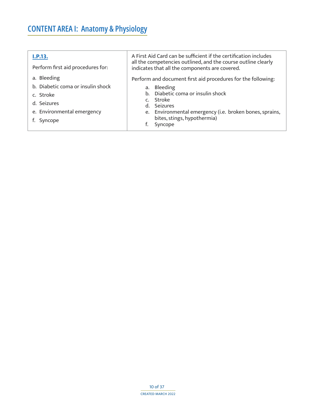<span id="page-9-0"></span>

| I.P.13.                           | A First Aid Card can be sufficient if the certification includes                                                |  |  |
|-----------------------------------|-----------------------------------------------------------------------------------------------------------------|--|--|
| Perform first aid procedures for: | all the competencies outlined, and the course outline clearly<br>indicates that all the components are covered. |  |  |
| a. Bleeding                       | Perform and document first aid procedures for the following:                                                    |  |  |
| b. Diabetic coma or insulin shock | a. Bleeding                                                                                                     |  |  |
| c. Stroke                         | b. Diabetic coma or insulin shock                                                                               |  |  |
| d. Seizures                       | c. Stroke<br>d. Seizures                                                                                        |  |  |
| e. Environmental emergency        | e. Environmental emergency (i.e. broken bones, sprains,                                                         |  |  |
| Syncope                           | bites, stings, hypothermia)                                                                                     |  |  |
|                                   | Syncope<br>f.                                                                                                   |  |  |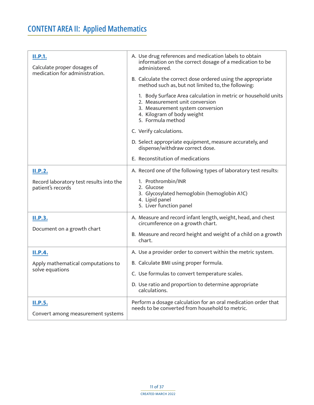# <span id="page-10-0"></span>**CONTENT AREA II: Applied Mathematics**

<span id="page-10-5"></span><span id="page-10-4"></span><span id="page-10-3"></span><span id="page-10-2"></span><span id="page-10-1"></span>

| II.P.1.<br>Calculate proper dosages of<br>medication for administration. | A. Use drug references and medication labels to obtain<br>information on the correct dosage of a medication to be<br>administered.                                                     |
|--------------------------------------------------------------------------|----------------------------------------------------------------------------------------------------------------------------------------------------------------------------------------|
|                                                                          | B. Calculate the correct dose ordered using the appropriate<br>method such as, but not limited to, the following:                                                                      |
|                                                                          | 1. Body Surface Area calculation in metric or household units<br>2. Measurement unit conversion<br>3. Measurement system conversion<br>4. Kilogram of body weight<br>5. Formula method |
|                                                                          | C. Verify calculations.                                                                                                                                                                |
|                                                                          | D. Select appropriate equipment, measure accurately, and<br>dispense/withdraw correct dose.                                                                                            |
|                                                                          | E. Reconstitution of medications                                                                                                                                                       |
| <b>II.P.2.</b>                                                           | A. Record one of the following types of laboratory test results:                                                                                                                       |
| Record laboratory test results into the<br>patient's records             | 1. Prothrombin/INR<br>2. Glucose<br>3. Glycosylated hemoglobin (hemoglobin A1C)<br>4. Lipid panel<br>5. Liver function panel                                                           |
| <b>II.P.3.</b><br>Document on a growth chart                             | A. Measure and record infant length, weight, head, and chest<br>circumference on a growth chart.                                                                                       |
|                                                                          | B. Measure and record height and weight of a child on a growth<br>chart.                                                                                                               |
| <b>II.P.4.</b>                                                           | A. Use a provider order to convert within the metric system.                                                                                                                           |
| Apply mathematical computations to                                       | B. Calculate BMI using proper formula.                                                                                                                                                 |
| solve equations                                                          | C. Use formulas to convert temperature scales.                                                                                                                                         |
|                                                                          | D. Use ratio and proportion to determine appropriate<br>calculations.                                                                                                                  |
| <b>II.P.5.</b><br>Convert among measurement systems                      | Perform a dosage calculation for an oral medication order that<br>needs to be converted from household to metric.                                                                      |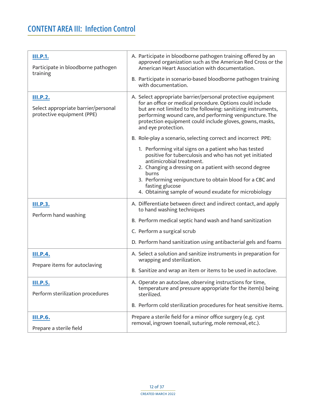## <span id="page-11-0"></span>**CONTENT AREA III: Infection Control**

<span id="page-11-6"></span><span id="page-11-5"></span><span id="page-11-4"></span><span id="page-11-3"></span><span id="page-11-2"></span><span id="page-11-1"></span>

| <b>III.P.1.</b><br>Participate in bloodborne pathogen<br>training                    | A. Participate in bloodborne pathogen training offered by an<br>approved organization such as the American Red Cross or the<br>American Heart Association with documentation.<br>B. Participate in scenario-based bloodborne pathogen training<br>with documentation.                                                                                                                                                                                                                                                                                                                                                                                                                                                                                                      |
|--------------------------------------------------------------------------------------|----------------------------------------------------------------------------------------------------------------------------------------------------------------------------------------------------------------------------------------------------------------------------------------------------------------------------------------------------------------------------------------------------------------------------------------------------------------------------------------------------------------------------------------------------------------------------------------------------------------------------------------------------------------------------------------------------------------------------------------------------------------------------|
| <u>III.P.2.</u><br>Select appropriate barrier/personal<br>protective equipment (PPE) | A. Select appropriate barrier/personal protective equipment<br>for an office or medical procedure. Options could include<br>but are not limited to the following: sanitizing instruments,<br>performing wound care, and performing venipuncture. The<br>protection equipment could include gloves, gowns, masks,<br>and eye protection.<br>B. Role-play a scenario, selecting correct and incorrect PPE:<br>1. Performing vital signs on a patient who has tested<br>positive for tuberculosis and who has not yet initiated<br>antimicrobial treatment.<br>2. Changing a dressing on a patient with second degree<br><b>burns</b><br>3. Performing venipuncture to obtain blood for a CBC and<br>fasting glucose<br>4. Obtaining sample of wound exudate for microbiology |
| <b>III.P.3.</b><br>Perform hand washing                                              | A. Differentiate between direct and indirect contact, and apply<br>to hand washing techniques<br>B. Perform medical septic hand wash and hand sanitization<br>C. Perform a surgical scrub<br>D. Perform hand sanitization using antibacterial gels and foams                                                                                                                                                                                                                                                                                                                                                                                                                                                                                                               |
| <b>III.P.4.</b><br>Prepare items for autoclaving                                     | A. Select a solution and sanitize instruments in preparation for<br>wrapping and sterilization.<br>B. Sanitize and wrap an item or items to be used in autoclave.                                                                                                                                                                                                                                                                                                                                                                                                                                                                                                                                                                                                          |
| III.P.5.<br>Perform sterilization procedures                                         | A. Operate an autoclave, observing instructions for time,<br>temperature and pressure appropriate for the item(s) being<br>sterilized.<br>B. Perform cold sterilization procedures for heat sensitive items.                                                                                                                                                                                                                                                                                                                                                                                                                                                                                                                                                               |
| <b>III.P.6.</b><br>Prepare a sterile field                                           | Prepare a sterile field for a minor office surgery (e.g. cyst<br>removal, ingrown toenail, suturing, mole removal, etc.).                                                                                                                                                                                                                                                                                                                                                                                                                                                                                                                                                                                                                                                  |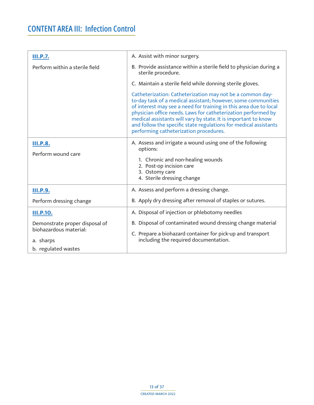<span id="page-12-3"></span><span id="page-12-2"></span><span id="page-12-1"></span><span id="page-12-0"></span>

| A. Assist with minor surgery.                                                                                                                                                                                                                                                                                                                                                                                                                    |
|--------------------------------------------------------------------------------------------------------------------------------------------------------------------------------------------------------------------------------------------------------------------------------------------------------------------------------------------------------------------------------------------------------------------------------------------------|
| B. Provide assistance within a sterile field to physician during a<br>sterile procedure.                                                                                                                                                                                                                                                                                                                                                         |
| C. Maintain a sterile field while donning sterile gloves.                                                                                                                                                                                                                                                                                                                                                                                        |
| Catheterization: Catheterization may not be a common day-<br>to-day task of a medical assistant; however, some communities<br>of interest may see a need for training in this area due to local<br>physician office needs. Laws for catheterization performed by<br>medical assistants will vary by state. It is important to know<br>and follow the specific state regulations for medical assistants<br>performing catheterization procedures. |
| A. Assess and irrigate a wound using one of the following<br>options:                                                                                                                                                                                                                                                                                                                                                                            |
| 1. Chronic and non-healing wounds<br>2. Post-op incision care<br>3. Ostomy care<br>4. Sterile dressing change                                                                                                                                                                                                                                                                                                                                    |
| A. Assess and perform a dressing change.                                                                                                                                                                                                                                                                                                                                                                                                         |
| B. Apply dry dressing after removal of staples or sutures.                                                                                                                                                                                                                                                                                                                                                                                       |
| A. Disposal of injection or phlebotomy needles                                                                                                                                                                                                                                                                                                                                                                                                   |
| B. Disposal of contaminated wound dressing change material<br>C. Prepare a biohazard container for pick-up and transport<br>including the required documentation.                                                                                                                                                                                                                                                                                |
|                                                                                                                                                                                                                                                                                                                                                                                                                                                  |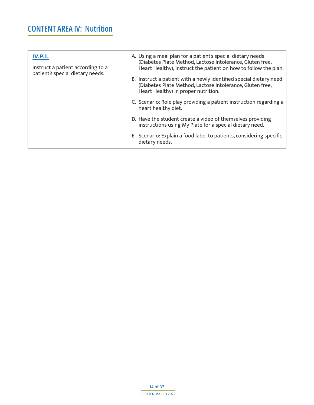## **CONTENT AREA IV: Nutrition**

<span id="page-13-0"></span>

| <b>IV.P.1.</b><br>Instruct a patient according to a<br>patient's special dietary needs. | A. Using a meal plan for a patient's special dietary needs<br>(Diabetes Plate Method, Lactose Intolerance, Gluten free,<br>Heart Healthy), instruct the patient on how to follow the plan.<br>B. Instruct a patient with a newly identified special dietary need<br>(Diabetes Plate Method, Lactose Intolerance, Gluten free,<br>Heart Healthy) in proper nutrition. |
|-----------------------------------------------------------------------------------------|----------------------------------------------------------------------------------------------------------------------------------------------------------------------------------------------------------------------------------------------------------------------------------------------------------------------------------------------------------------------|
|                                                                                         | C. Scenario: Role play providing a patient instruction regarding a<br>heart healthy diet.                                                                                                                                                                                                                                                                            |
|                                                                                         | D. Have the student create a video of themselves providing<br>instructions using My Plate for a special dietary need.                                                                                                                                                                                                                                                |
|                                                                                         | E. Scenario: Explain a food label to patients, considering specific<br>dietary needs.                                                                                                                                                                                                                                                                                |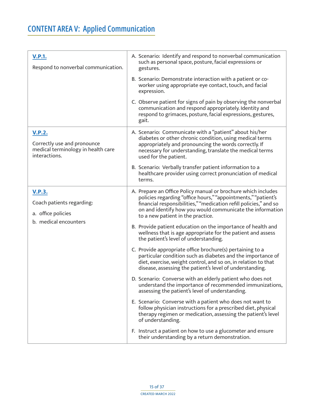<span id="page-14-3"></span><span id="page-14-2"></span><span id="page-14-1"></span><span id="page-14-0"></span>

| <b>V.P.1.</b><br>Respond to nonverbal communication.                                                | A. Scenario: Identify and respond to nonverbal communication<br>such as personal space, posture, facial expressions or<br>gestures.                                                                                                                                                                                                                                                                  |
|-----------------------------------------------------------------------------------------------------|------------------------------------------------------------------------------------------------------------------------------------------------------------------------------------------------------------------------------------------------------------------------------------------------------------------------------------------------------------------------------------------------------|
|                                                                                                     | B. Scenario: Demonstrate interaction with a patient or co-<br>worker using appropriate eye contact, touch, and facial<br>expression.                                                                                                                                                                                                                                                                 |
|                                                                                                     | C. Observe patient for signs of pain by observing the nonverbal<br>communication and respond appropriately. Identity and<br>respond to grimaces, posture, facial expressions, gestures,<br>gait.                                                                                                                                                                                                     |
| <b>V.P.2.</b><br>Correctly use and pronounce<br>medical terminology in health care<br>interactions. | A. Scenario: Communicate with a "patient" about his/her<br>diabetes or other chronic condition, using medical terms<br>appropriately and pronouncing the words correctly. If<br>necessary for understanding, translate the medical terms<br>used for the patient.<br>B. Scenario: Verbally transfer patient information to a<br>healthcare provider using correct pronunciation of medical<br>terms. |
|                                                                                                     |                                                                                                                                                                                                                                                                                                                                                                                                      |
| <u>V.P.3.</u><br>Coach patients regarding:<br>a. office policies                                    | A. Prepare an Office Policy manual or brochure which includes<br>policies regarding "office hours," "appointments," "patient's<br>financial responsibilities," "medication refill policies," and so<br>on and identify how you would communicate the information<br>to a new patient in the practice.                                                                                                |
| b. medical encounters                                                                               | B. Provide patient education on the importance of health and<br>wellness that is age appropriate for the patient and assess<br>the patient's level of understanding.                                                                                                                                                                                                                                 |
|                                                                                                     | C. Provide appropriate office brochure(s) pertaining to a<br>particular condition such as diabetes and the importance of<br>diet, exercise, weight control, and so on, in relation to that<br>disease, assessing the patient's level of understanding.                                                                                                                                               |
|                                                                                                     | D. Scenario: Converse with an elderly patient who does not<br>understand the importance of recommended immunizations,<br>assessing the patient's level of understanding.                                                                                                                                                                                                                             |
|                                                                                                     | E. Scenario: Converse with a patient who does not want to<br>follow physician instructions for a prescribed diet, physical<br>therapy regimen or medication, assessing the patient's level<br>of understanding.                                                                                                                                                                                      |
|                                                                                                     | F. Instruct a patient on how to use a glucometer and ensure<br>their understanding by a return demonstration.                                                                                                                                                                                                                                                                                        |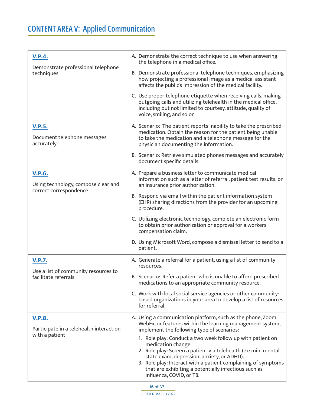# <span id="page-15-0"></span>**CONTENT AREA V: Applied Communication**

<span id="page-15-5"></span><span id="page-15-4"></span><span id="page-15-3"></span><span id="page-15-2"></span><span id="page-15-1"></span>

| <b>V.P.4.</b><br>Demonstrate professional telephone<br>techniques              | A. Demonstrate the correct technique to use when answering<br>the telephone in a medical office.                                                                                                                                                                                                                                                      |
|--------------------------------------------------------------------------------|-------------------------------------------------------------------------------------------------------------------------------------------------------------------------------------------------------------------------------------------------------------------------------------------------------------------------------------------------------|
|                                                                                | B. Demonstrate professional telephone techniques, emphasizing<br>how projecting a professional image as a medical assistant<br>affects the public's impression of the medical facility.                                                                                                                                                               |
|                                                                                | C. Use proper telephone etiquette when receiving calls, making<br>outgoing calls and utilizing telehealth in the medical office,<br>including but not limited to courtesy, attitude, quality of<br>voice, smiling, and so on                                                                                                                          |
| <b>V.P.5.</b><br>Document telephone messages<br>accurately.                    | A. Scenario: The patient reports inability to take the prescribed<br>medication. Obtain the reason for the patient being unable<br>to take the medication and a telephone message for the<br>physician documenting the information.                                                                                                                   |
|                                                                                | B. Scenario: Retrieve simulated phones messages and accurately<br>document specific details.                                                                                                                                                                                                                                                          |
| <b>V.P.6.</b><br>Using technology, compose clear and<br>correct correspondence | A. Prepare a business letter to communicate medical<br>information such as a letter of referral, patient test results, or<br>an insurance prior authorization.                                                                                                                                                                                        |
|                                                                                | B. Respond via email within the patient information system<br>(EHR) sharing directions from the provider for an upcoming<br>procedure.                                                                                                                                                                                                                |
|                                                                                | C. Utilizing electronic technology, complete an electronic form<br>to obtain prior authorization or approval for a workers<br>compensation claim.                                                                                                                                                                                                     |
|                                                                                | D. Using Microsoft Word, compose a dismissal letter to send to a<br>patient.                                                                                                                                                                                                                                                                          |
| <b>V.P.7.</b>                                                                  | A. Generate a referral for a patient, using a list of community<br>resources.                                                                                                                                                                                                                                                                         |
| Use a list of community resources to<br>facilitate referrals                   | B. Scenario: Refer a patient who is unable to afford prescribed<br>medications to an appropriate community resource.                                                                                                                                                                                                                                  |
|                                                                                | C. Work with local social service agencies or other community-<br>based organizations in your area to develop a list of resources<br>for referral.                                                                                                                                                                                                    |
| <b>V.P.8.</b><br>Participate in a telehealth interaction<br>with a patient     | A. Using a communication platform, such as the phone, Zoom,<br>WebEx, or features within the learning management system,<br>implement the following type of scenarios:                                                                                                                                                                                |
|                                                                                | 1. Role play: Conduct a two week follow up with patient on<br>medication change.<br>2. Role play: Screen a patient via telehealth (ex: mini mental<br>state exam, depression, anxiety, or ADHD).<br>3. Role play: Interact with a patient complaining of symptoms<br>that are exhibiting a potentially infectious such as<br>influenza, COVID, or TB. |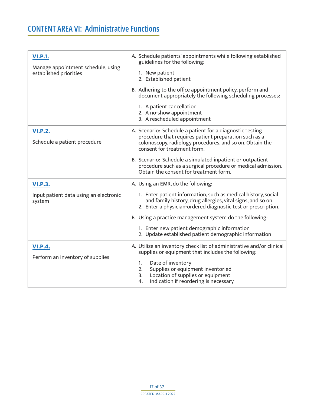<span id="page-16-4"></span><span id="page-16-3"></span><span id="page-16-2"></span><span id="page-16-1"></span><span id="page-16-0"></span>

| <b>VI.P.1.</b><br>Manage appointment schedule, using<br>established priorities | A. Schedule patients' appointments while following established<br>guidelines for the following:<br>1. New patient<br>2. Established patient<br>B. Adhering to the office appointment policy, perform and<br>document appropriately the following scheduling processes:<br>1. A patient cancellation<br>2. A no-show appointment<br>3. A rescheduled appointment                                         |
|--------------------------------------------------------------------------------|---------------------------------------------------------------------------------------------------------------------------------------------------------------------------------------------------------------------------------------------------------------------------------------------------------------------------------------------------------------------------------------------------------|
| <b>VI.P.2.</b><br>Schedule a patient procedure                                 | A. Scenario: Schedule a patient for a diagnostic testing<br>procedure that requires patient preparation such as a<br>colonoscopy, radiology procedures, and so on. Obtain the<br>consent for treatment form.<br>B. Scenario: Schedule a simulated inpatient or outpatient<br>procedure such as a surgical procedure or medical admission.<br>Obtain the consent for treatment form.                     |
| <b>VI.P.3.</b><br>Input patient data using an electronic<br>system             | A. Using an EMR, do the following:<br>1. Enter patient information, such as medical history, social<br>and family history, drug allergies, vital signs, and so on.<br>2. Enter a physician-ordered diagnostic test or prescription.<br>B. Using a practice management system do the following:<br>1. Enter new patient demographic information<br>2. Update established patient demographic information |
| <b>VI.P.4.</b><br>Perform an inventory of supplies                             | A. Utilize an inventory check list of administrative and/or clinical<br>supplies or equipment that includes the following:<br>Date of inventory<br>1.<br>2.<br>Supplies or equipment inventoried<br>3.<br>Location of supplies or equipment<br>Indication if reordering is necessary<br>4.                                                                                                              |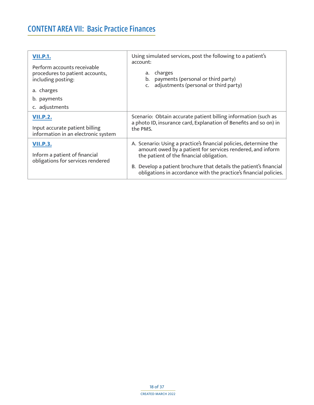## <span id="page-17-0"></span>**CONTENT AREA VII: Basic Practice Finances**

<span id="page-17-3"></span><span id="page-17-2"></span><span id="page-17-1"></span>

| <b>VII.P.1.</b><br>Perform accounts receivable<br>procedures to patient accounts,<br>including posting:<br>a. charges<br>b. payments<br>c. adjustments | Using simulated services, post the following to a patient's<br>account:<br>charges<br>a.<br>payments (personal or third party)<br>b.<br>adjustments (personal or third party)<br>C.                                                                                                                                    |
|--------------------------------------------------------------------------------------------------------------------------------------------------------|------------------------------------------------------------------------------------------------------------------------------------------------------------------------------------------------------------------------------------------------------------------------------------------------------------------------|
| <b>VII.P.2.</b><br>Input accurate patient billing<br>information in an electronic system                                                               | Scenario: Obtain accurate patient billing information (such as<br>a photo ID, insurance card, Explanation of Benefits and so on) in<br>the PMS.                                                                                                                                                                        |
| <b>VII.P.3.</b><br>Inform a patient of financial<br>obligations for services rendered                                                                  | A. Scenario: Using a practice's financial policies, determine the<br>amount owed by a patient for services rendered, and inform<br>the patient of the financial obligation.<br>B. Develop a patient brochure that details the patient's financial<br>obligations in accordance with the practice's financial policies. |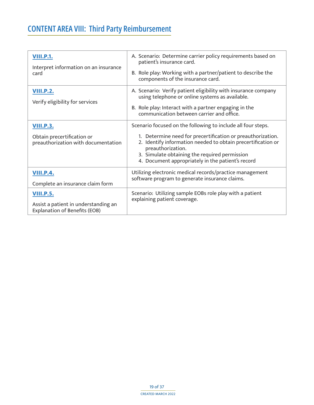# <span id="page-18-0"></span>**CONTENT AREA VIII: Third Party Reimbursement**

<span id="page-18-5"></span><span id="page-18-4"></span><span id="page-18-3"></span><span id="page-18-2"></span><span id="page-18-1"></span>

| <b>VIII.P.1.</b><br>Interpret information on an insurance<br>card                                | A. Scenario: Determine carrier policy requirements based on<br>patient's insurance card.<br>B. Role play: Working with a partner/patient to describe the<br>components of the insurance card.                                                                                                                          |
|--------------------------------------------------------------------------------------------------|------------------------------------------------------------------------------------------------------------------------------------------------------------------------------------------------------------------------------------------------------------------------------------------------------------------------|
| <b>VIII.P.2.</b><br>Verify eligibility for services                                              | A. Scenario: Verify patient eligibility with insurance company<br>using telephone or online systems as available.<br>B. Role play: Interact with a partner engaging in the<br>communication between carrier and office.                                                                                                |
| <b>VIII.P.3.</b><br>Obtain precertification or<br>preauthorization with documentation            | Scenario focused on the following to include all four steps.<br>1. Determine need for precertification or preauthorization.<br>2. Identify information needed to obtain precertification or<br>preauthorization.<br>3. Simulate obtaining the required permission<br>4. Document appropriately in the patient's record |
| <b>VIII.P.4.</b><br>Complete an insurance claim form                                             | Utilizing electronic medical records/practice management<br>software program to generate insurance claims.                                                                                                                                                                                                             |
| <b>VIII.P.5.</b><br>Assist a patient in understanding an<br><b>Explanation of Benefits (EOB)</b> | Scenario: Utilizing sample EOBs role play with a patient<br>explaining patient coverage.                                                                                                                                                                                                                               |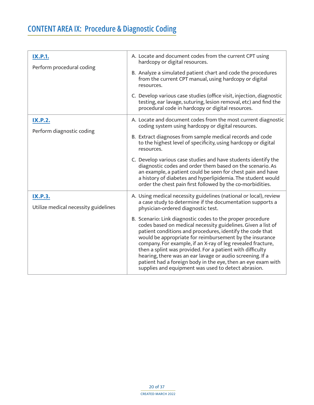<span id="page-19-3"></span><span id="page-19-2"></span><span id="page-19-1"></span><span id="page-19-0"></span>

| <b>IX.P.1.</b><br>Perform procedural coding            | A. Locate and document codes from the current CPT using<br>hardcopy or digital resources.                                                                                                                                                                                                                                                                                                                                                                                                                                                                          |  |
|--------------------------------------------------------|--------------------------------------------------------------------------------------------------------------------------------------------------------------------------------------------------------------------------------------------------------------------------------------------------------------------------------------------------------------------------------------------------------------------------------------------------------------------------------------------------------------------------------------------------------------------|--|
|                                                        | B. Analyze a simulated patient chart and code the procedures<br>from the current CPT manual, using hardcopy or digital<br>resources.                                                                                                                                                                                                                                                                                                                                                                                                                               |  |
|                                                        | C. Develop various case studies (office visit, injection, diagnostic<br>testing, ear lavage, suturing, lesion removal, etc) and find the<br>procedural code in hardcopy or digital resources.                                                                                                                                                                                                                                                                                                                                                                      |  |
| <b>IX.P.2.</b>                                         | A. Locate and document codes from the most current diagnostic<br>coding system using hardcopy or digital resources.                                                                                                                                                                                                                                                                                                                                                                                                                                                |  |
| Perform diagnostic coding                              | B. Extract diagnoses from sample medical records and code<br>to the highest level of specificity, using hardcopy or digital<br>resources.                                                                                                                                                                                                                                                                                                                                                                                                                          |  |
|                                                        | C. Develop various case studies and have students identify the<br>diagnostic codes and order them based on the scenario. As<br>an example, a patient could be seen for chest pain and have<br>a history of diabetes and hyperlipidemia. The student would<br>order the chest pain first followed by the co-morbidities.                                                                                                                                                                                                                                            |  |
| <b>IX.P.3.</b><br>Utilize medical necessity guidelines | A. Using medical necessity guidelines (national or local), review<br>a case study to determine if the documentation supports a<br>physician-ordered diagnostic test.                                                                                                                                                                                                                                                                                                                                                                                               |  |
|                                                        | B. Scenario: Link diagnostic codes to the proper procedure<br>codes based on medical necessity guidelines. Given a list of<br>patient conditions and procedures, identify the code that<br>would be appropriate for reimbursement by the insurance<br>company. For example, if an X-ray of leg revealed fracture,<br>then a splint was provided. For a patient with difficulty<br>hearing, there was an ear lavage or audio screening. If a<br>patient had a foreign body in the eye, then an eye exam with<br>supplies and equipment was used to detect abrasion. |  |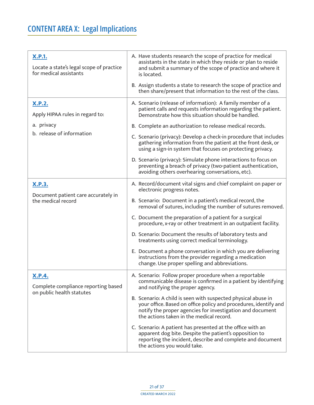# <span id="page-20-0"></span>**CONTENT AREA X: Legal Implications**

<span id="page-20-4"></span><span id="page-20-3"></span><span id="page-20-2"></span><span id="page-20-1"></span>

| <b>X.P.1.</b><br>Locate a state's legal scope of practice<br>for medical assistants | A. Have students research the scope of practice for medical<br>assistants in the state in which they reside or plan to reside<br>and submit a summary of the scope of practice and where it<br>is located.                                 |
|-------------------------------------------------------------------------------------|--------------------------------------------------------------------------------------------------------------------------------------------------------------------------------------------------------------------------------------------|
|                                                                                     | B. Assign students a state to research the scope of practice and<br>then share/present that information to the rest of the class.                                                                                                          |
| <u>X.P.2.</u><br>Apply HIPAA rules in regard to:                                    | A. Scenario (release of information): A family member of a<br>patient calls and requests information regarding the patient.<br>Demonstrate how this situation should be handled.                                                           |
| a. privacy                                                                          | B. Complete an authorization to release medical records.                                                                                                                                                                                   |
| b. release of information                                                           | C. Scenario (privacy): Develop a check-in procedure that includes<br>gathering information from the patient at the front desk, or<br>using a sign-in system that focuses on protecting privacy.                                            |
|                                                                                     | D. Scenario (privacy): Simulate phone interactions to focus on<br>preventing a breach of privacy (two-patient authentication,<br>avoiding others overhearing conversations, etc).                                                          |
| <u>X.P.3.</u><br>Document patient care accurately in<br>the medical record          | A. Record/document vital signs and chief complaint on paper or<br>electronic progress notes.                                                                                                                                               |
|                                                                                     | B. Scenario: Document in a patient's medical record, the<br>removal of sutures, including the number of sutures removed.                                                                                                                   |
|                                                                                     | C. Document the preparation of a patient for a surgical<br>procedure, x-ray or other treatment in an outpatient facility.                                                                                                                  |
|                                                                                     | D. Scenario: Document the results of laboratory tests and<br>treatments using correct medical terminology.                                                                                                                                 |
|                                                                                     | E. Document a phone conversation in which you are delivering<br>instructions from the provider regarding a medication<br>change. Use proper spelling and abbreviations.                                                                    |
| <b>X.P.4.</b><br>Complete compliance reporting based                                | A. Scenario: Follow proper procedure when a reportable<br>communicable disease is confirmed in a patient by identifying<br>and notifying the proper agency.                                                                                |
| on public health statutes                                                           | B. Scenario: A child is seen with suspected physical abuse in<br>your office. Based on office policy and procedures, identify and<br>notify the proper agencies for investigation and document<br>the actions taken in the medical record. |
|                                                                                     | C. Scenario: A patient has presented at the office with an<br>apparent dog bite. Despite the patient's opposition to<br>reporting the incident, describe and complete and document<br>the actions you would take.                          |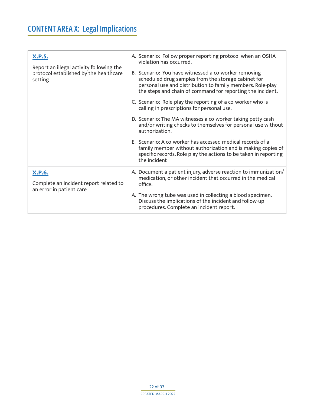# **CONTENT AREA X: Legal Implications**

<span id="page-21-1"></span><span id="page-21-0"></span>

| <b>X.P.5.</b><br>Report an illegal activity following the<br>protocol established by the healthcare<br>setting | A. Scenario: Follow proper reporting protocol when an OSHA<br>violation has occurred.                                                                                                                                                   |
|----------------------------------------------------------------------------------------------------------------|-----------------------------------------------------------------------------------------------------------------------------------------------------------------------------------------------------------------------------------------|
|                                                                                                                | B. Scenario: You have witnessed a co-worker removing<br>scheduled drug samples from the storage cabinet for<br>personal use and distribution to family members. Role-play<br>the steps and chain of command for reporting the incident. |
|                                                                                                                | C. Scenario: Role-play the reporting of a co-worker who is<br>calling in prescriptions for personal use.                                                                                                                                |
|                                                                                                                | D. Scenario: The MA witnesses a co-worker taking petty cash<br>and/or writing checks to themselves for personal use without<br>authorization.                                                                                           |
|                                                                                                                | E. Scenario: A co-worker has accessed medical records of a<br>family member without authorization and is making copies of<br>specific records. Role play the actions to be taken in reporting<br>the incident                           |
| <b>X.P.6.</b>                                                                                                  | A. Document a patient injury, adverse reaction to immunization/<br>medication, or other incident that occurred in the medical                                                                                                           |
| Complete an incident report related to<br>an error in patient care                                             | office.                                                                                                                                                                                                                                 |
|                                                                                                                | A. The wrong tube was used in collecting a blood specimen.<br>Discuss the implications of the incident and follow-up<br>procedures. Complete an incident report.                                                                        |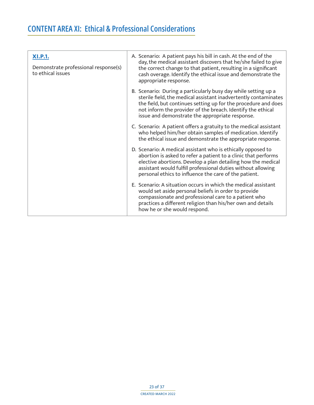<span id="page-22-1"></span><span id="page-22-0"></span>

| <b>XI.P.1.</b><br>Demonstrate professional response(s)<br>to ethical issues | A. Scenario: A patient pays his bill in cash. At the end of the<br>day, the medical assistant discovers that he/she failed to give<br>the correct change to that patient, resulting in a significant<br>cash overage. Identify the ethical issue and demonstrate the<br>appropriate response.                           |
|-----------------------------------------------------------------------------|-------------------------------------------------------------------------------------------------------------------------------------------------------------------------------------------------------------------------------------------------------------------------------------------------------------------------|
|                                                                             | B. Scenario: During a particularly busy day while setting up a<br>sterile field, the medical assistant inadvertently contaminates<br>the field, but continues setting up for the procedure and does<br>not inform the provider of the breach. Identify the ethical<br>issue and demonstrate the appropriate response.   |
|                                                                             | C. Scenario: A patient offers a gratuity to the medical assistant<br>who helped him/her obtain samples of medication. Identify<br>the ethical issue and demonstrate the appropriate response.                                                                                                                           |
|                                                                             | D. Scenario: A medical assistant who is ethically opposed to<br>abortion is asked to refer a patient to a clinic that performs<br>elective abortions. Develop a plan detailing how the medical<br>assistant would fulfill professional duties without allowing<br>personal ethics to influence the care of the patient. |
|                                                                             | E. Scenario: A situation occurs in which the medical assistant<br>would set aside personal beliefs in order to provide<br>compassionate and professional care to a patient who<br>practices a different religion than his/her own and details<br>how he or she would respond.                                           |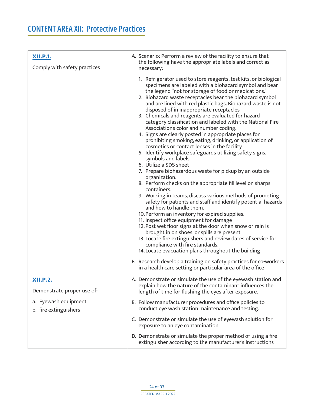<span id="page-23-2"></span><span id="page-23-1"></span><span id="page-23-0"></span>

| <b>XII.P.1.</b><br>Comply with safety practices | A. Scenario: Perform a review of the facility to ensure that<br>the following have the appropriate labels and correct as<br>necessary:                                                                                                                                                                                                                                                                                                                                                                                                                                                                                                                                                                                                                                                                                                                                                                                                                                                                                                                                                                                                                                                                                                                                                                                                                                                                                                                                                                                                                                                                                        |
|-------------------------------------------------|-------------------------------------------------------------------------------------------------------------------------------------------------------------------------------------------------------------------------------------------------------------------------------------------------------------------------------------------------------------------------------------------------------------------------------------------------------------------------------------------------------------------------------------------------------------------------------------------------------------------------------------------------------------------------------------------------------------------------------------------------------------------------------------------------------------------------------------------------------------------------------------------------------------------------------------------------------------------------------------------------------------------------------------------------------------------------------------------------------------------------------------------------------------------------------------------------------------------------------------------------------------------------------------------------------------------------------------------------------------------------------------------------------------------------------------------------------------------------------------------------------------------------------------------------------------------------------------------------------------------------------|
|                                                 | 1. Refrigerator used to store reagents, test kits, or biological<br>specimens are labeled with a biohazard symbol and bear<br>the legend "not for storage of food or medications."<br>2. Biohazard waste receptacles bear the biohazard symbol<br>and are lined with red plastic bags. Biohazard waste is not<br>disposed of in inappropriate receptacles<br>3. Chemicals and reagents are evaluated for hazard<br>category classification and labeled with the National Fire<br>Association's color and number coding.<br>4. Signs are clearly posted in appropriate places for<br>prohibiting smoking, eating, drinking, or application of<br>cosmetics or contact lenses in the facility.<br>5. Identify workplace safeguards utilizing safety signs,<br>symbols and labels.<br>6. Utilize a SDS sheet<br>7. Prepare biohazardous waste for pickup by an outside<br>organization.<br>8. Perform checks on the appropriate fill level on sharps<br>containers.<br>9. Working in teams, discuss various methods of promoting<br>safety for patients and staff and identify potential hazards<br>and how to handle them.<br>10. Perform an inventory for expired supplies.<br>11. Inspect office equipment for damage<br>12. Post wet floor signs at the door when snow or rain is<br>brought in on shoes, or spills are present<br>13. Locate fire extinguishers and review dates of service for<br>compliance with fire standards.<br>14. Locate evacuation plans throughout the building<br>B. Research develop a training on safety practices for co-workers<br>in a health care setting or particular area of the office |
| <b>XII.P.2.</b><br>Demonstrate proper use of:   | A. Demonstrate or simulate the use of the eyewash station and<br>explain how the nature of the contaminant influences the<br>length of time for flushing the eyes after exposure.                                                                                                                                                                                                                                                                                                                                                                                                                                                                                                                                                                                                                                                                                                                                                                                                                                                                                                                                                                                                                                                                                                                                                                                                                                                                                                                                                                                                                                             |
| a. Eyewash equipment<br>b. fire extinguishers   | B. Follow manufacturer procedures and office policies to<br>conduct eye wash station maintenance and testing.                                                                                                                                                                                                                                                                                                                                                                                                                                                                                                                                                                                                                                                                                                                                                                                                                                                                                                                                                                                                                                                                                                                                                                                                                                                                                                                                                                                                                                                                                                                 |
|                                                 | C. Demonstrate or simulate the use of eyewash solution for<br>exposure to an eye contamination.                                                                                                                                                                                                                                                                                                                                                                                                                                                                                                                                                                                                                                                                                                                                                                                                                                                                                                                                                                                                                                                                                                                                                                                                                                                                                                                                                                                                                                                                                                                               |
|                                                 | D. Demonstrate or simulate the proper method of using a fire<br>extinguisher according to the manufacturer's instructions                                                                                                                                                                                                                                                                                                                                                                                                                                                                                                                                                                                                                                                                                                                                                                                                                                                                                                                                                                                                                                                                                                                                                                                                                                                                                                                                                                                                                                                                                                     |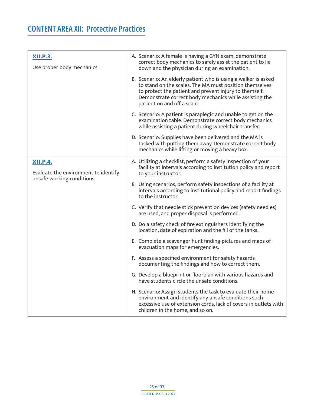<span id="page-24-1"></span><span id="page-24-0"></span>

| <b>XII.P.3.</b><br>Use proper body mechanics                                         | A. Scenario: A female is having a GYN exam, demonstrate<br>correct body mechanics to safely assist the patient to lie<br>down and the physician during an examination.                                                                                                       |
|--------------------------------------------------------------------------------------|------------------------------------------------------------------------------------------------------------------------------------------------------------------------------------------------------------------------------------------------------------------------------|
|                                                                                      | B. Scenario: An elderly patient who is using a walker is asked<br>to stand on the scales. The MA must position themselves<br>to protect the patient and prevent injury to themself.<br>Demonstrate correct body mechanics while assisting the<br>patient on and off a scale. |
|                                                                                      | C. Scenario: A patient is paraplegic and unable to get on the<br>examination table. Demonstrate correct body mechanics<br>while assisting a patient during wheelchair transfer.                                                                                              |
|                                                                                      | D. Scenario: Supplies have been delivered and the MA is<br>tasked with putting them away. Demonstrate correct body<br>mechanics while lifting or moving a heavy box.                                                                                                         |
| <b>XII.P.4.</b><br>Evaluate the environment to identify<br>unsafe working conditions | A. Utilizing a checklist, perform a safety inspection of your<br>facility at intervals according to institution policy and report<br>to your instructor.                                                                                                                     |
|                                                                                      | B. Using scenarios, perform safety inspections of a facility at<br>intervals according to institutional policy and report findings<br>to the instructor.                                                                                                                     |
|                                                                                      | C. Verify that needle stick prevention devices (safety needles)<br>are used, and proper disposal is performed.                                                                                                                                                               |
|                                                                                      | D. Do a safety check of fire extinguishers identifying the<br>location, date of expiration and the fill of the tanks.                                                                                                                                                        |
|                                                                                      | E. Complete a scavenger hunt finding pictures and maps of<br>evacuation maps for emergencies.                                                                                                                                                                                |
|                                                                                      | F. Assess a specified environment for safety hazards<br>documenting the findings and how to correct them.                                                                                                                                                                    |
|                                                                                      | G. Develop a blueprint or floorplan with various hazards and<br>have students circle the unsafe conditions.                                                                                                                                                                  |
|                                                                                      | H. Scenario: Assign students the task to evaluate their home<br>environment and identify any unsafe conditions such<br>excessive use of extension cords, lack of covers in outlets with<br>children in the home, and so on.                                                  |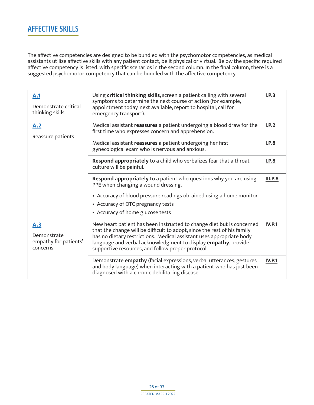#### <span id="page-25-0"></span>**AFFECTIVE SKILLS**

The affective competencies are designed to be bundled with the psychomotor competencies, as medical assistants utilize affective skills with any patient contact, be it physical or virtual. Below the specific required affective competency is listed, with specific scenarios in the second column. In the final column, there is a suggested psychomotor competency that can be bundled with the affective competency.

<span id="page-25-3"></span><span id="page-25-2"></span><span id="page-25-1"></span>

| A.1<br>Demonstrate critical<br>thinking skills          | Using critical thinking skills, screen a patient calling with several<br>symptoms to determine the next course of action (for example,<br>appointment today, next available, report to hospital, call for<br>emergency transport).                                                                                                               | I.P.3          |
|---------------------------------------------------------|--------------------------------------------------------------------------------------------------------------------------------------------------------------------------------------------------------------------------------------------------------------------------------------------------------------------------------------------------|----------------|
| A.2<br>Reassure patients                                | Medical assistant reassures a patient undergoing a blood draw for the<br>first time who expresses concern and apprehension.                                                                                                                                                                                                                      | I.P.2          |
|                                                         | Medical assistant reassures a patient undergoing her first<br>gynecological exam who is nervous and anxious.                                                                                                                                                                                                                                     | I.P.8          |
|                                                         | Respond appropriately to a child who verbalizes fear that a throat<br>culture will be painful.                                                                                                                                                                                                                                                   | I.P.8          |
|                                                         | Respond appropriately to a patient who questions why you are using<br>PPE when changing a wound dressing.                                                                                                                                                                                                                                        | <b>III.P.8</b> |
|                                                         | • Accuracy of blood pressure readings obtained using a home monitor<br>• Accuracy of OTC pregnancy tests<br>• Accuracy of home glucose tests                                                                                                                                                                                                     |                |
| A.3<br>Demonstrate<br>empathy for patients'<br>concerns | New heart patient has been instructed to change diet but is concerned<br>that the change will be difficult to adopt, since the rest of his family<br>has no dietary restrictions. Medical assistant uses appropriate body<br>language and verbal acknowledgment to display empathy, provide<br>supportive resources, and follow proper protocol. | <b>IV.P.1</b>  |
|                                                         | Demonstrate empathy (facial expressions, verbal utterances, gestures<br>and body language) when interacting with a patient who has just been<br>diagnosed with a chronic debilitating disease.                                                                                                                                                   | <b>IV.P.1</b>  |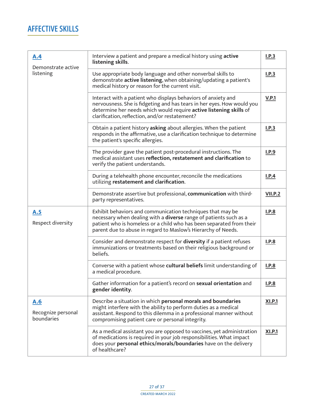#### **AFFECTIVE SKILLS**

<span id="page-26-2"></span><span id="page-26-1"></span><span id="page-26-0"></span>

| A.4<br>Demonstrate active               | Interview a patient and prepare a medical history using active<br>listening skills.                                                                                                                                                                                      | I.P.3         |  |  |
|-----------------------------------------|--------------------------------------------------------------------------------------------------------------------------------------------------------------------------------------------------------------------------------------------------------------------------|---------------|--|--|
| listening                               | Use appropriate body language and other nonverbal skills to<br>demonstrate active listening, when obtaining/updating a patient's<br>medical history or reason for the current visit.                                                                                     | I.P.3         |  |  |
|                                         | Interact with a patient who displays behaviors of anxiety and<br>nervousness. She is fidgeting and has tears in her eyes. How would you<br>determine her needs which would require active listening skills of<br>clarification, reflection, and/or restatement?          |               |  |  |
|                                         | Obtain a patient history asking about allergies. When the patient<br>responds in the affirmative, use a clarification technique to determine<br>the patient's specific allergies.                                                                                        |               |  |  |
|                                         | The provider gave the patient post-procedural instructions. The<br>medical assistant uses reflection, restatement and clarification to<br>verify the patient understands.                                                                                                |               |  |  |
|                                         | During a telehealth phone encounter, reconcile the medications<br>utilizing restatement and clarification.                                                                                                                                                               |               |  |  |
|                                         | Demonstrate assertive but professional, communication with third-<br>party representatives.                                                                                                                                                                              |               |  |  |
| A.5<br>Respect diversity                | Exhibit behaviors and communication techniques that may be<br>necessary when dealing with a diverse range of patients such as a<br>patient who is homeless or a child who has been separated from their<br>parent due to abuse in regard to Maslow's Hierarchy of Needs. |               |  |  |
|                                         | Consider and demonstrate respect for <b>diversity</b> if a patient refuses<br>immunizations or treatments based on their religious background or<br>beliefs.                                                                                                             |               |  |  |
|                                         | Converse with a patient whose cultural beliefs limit understanding of<br>a medical procedure.                                                                                                                                                                            |               |  |  |
|                                         | Gather information for a patient's record on sexual orientation and<br>gender identity.                                                                                                                                                                                  |               |  |  |
| A.6<br>Recognize personal<br>boundaries | Describe a situation in which personal morals and boundaries<br>might interfere with the ability to perform duties as a medical<br>assistant. Respond to this dilemma in a professional manner without<br>compromising patient care or personal integrity.               | <b>XI.P.1</b> |  |  |
|                                         | As a medical assistant you are opposed to vaccines, yet administration<br>of medications is required in your job responsibilities. What impact<br>does your personal ethics/morals/boundaries have on the delivery<br>of healthcare?                                     | <b>XI.P.1</b> |  |  |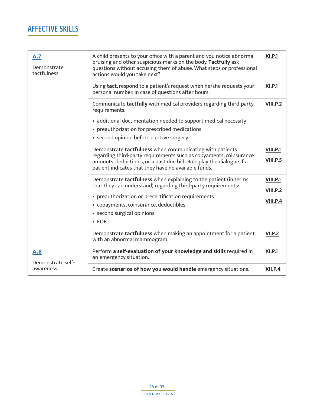#### **AFFECTIVE SKILLS**

<span id="page-27-1"></span><span id="page-27-0"></span>

| A.7<br>Demonstrate<br>tactfulness | A child presents to your office with a parent and you notice abnormal<br>bruising and other suspicious marks on the body. Tactfully ask<br>questions without accusing them of abuse. What steps or professional<br>actions would you take next?                                        |                                                       |  |
|-----------------------------------|----------------------------------------------------------------------------------------------------------------------------------------------------------------------------------------------------------------------------------------------------------------------------------------|-------------------------------------------------------|--|
|                                   | Using tact, respond to a patient's request when he/she requests your<br>personal number, in case of questions after hours.                                                                                                                                                             | <b>XI.P.1</b>                                         |  |
|                                   | Communicate tactfully with medical providers regarding third-party<br>requirements:                                                                                                                                                                                                    | <b>VIII.P.2</b>                                       |  |
|                                   | • additional documentation needed to support medical necessity<br>• preauthorization for prescribed medications<br>• second opinion before elective surgery                                                                                                                            |                                                       |  |
|                                   | Demonstrate tactfulness when communicating with patients<br>regarding third-party requirements such as copyaments, coinsurance<br>amounts, deductibles, or a past due bill. Role play the dialogue if a<br>patient indicates that they have no available funds.                        | <b>VIII.P.1</b><br><b>VIII.P.5</b>                    |  |
|                                   | Demonstrate <b>tactfulness</b> when explaining to the patient (in terms<br>that they can understand) regarding third-party requirements:<br>• preauthorization or precertification requirements<br>• copayments, coinsurance, deductibles<br>• second surgical opinions<br>$\cdot$ EOB | <b>VIII.P.1</b><br><b>VIII.P.2</b><br><b>VIII.P.4</b> |  |
|                                   | Demonstrate tactfulness when making an appointment for a patient<br>with an abnormal mammogram.                                                                                                                                                                                        | <b>VI.P.2</b>                                         |  |
| A.8<br>Demonstrate self-          | Perform a self-evaluation of your knowledge and skills required in<br>an emergency situation.                                                                                                                                                                                          | <b>XI.P.1</b>                                         |  |
| awareness                         | Create scenarios of how you would handle emergency situations.                                                                                                                                                                                                                         | <b>XII.P.4</b>                                        |  |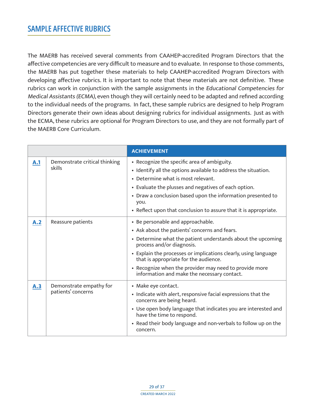<span id="page-28-0"></span>The MAERB has received several comments from CAAHEP-accredited Program Directors that the affective competencies are very difficult to measure and to evaluate. In response to those comments, the MAERB has put together these materials to help CAAHEP-accredited Program Directors with developing affective rubrics. It is important to note that these materials are not definitive. These rubrics can work in conjunction with the sample assignments in the Educational Competencies for Medical Assistants (ECMA), even though they will certainly need to be adapted and refined according to the individual needs of the programs. In fact, these sample rubrics are designed to help Program Directors generate their own ideas about designing rubrics for individual assignments. Just as with the ECMA, these rubrics are optional for Program Directors to use, and they are not formally part of the MAERB Core Curriculum.

<span id="page-28-3"></span><span id="page-28-2"></span><span id="page-28-1"></span>

|     |                                               | <b>ACHIEVEMENT</b>                                                                                                                                                                                                                                                                                                                                                                                  |
|-----|-----------------------------------------------|-----------------------------------------------------------------------------------------------------------------------------------------------------------------------------------------------------------------------------------------------------------------------------------------------------------------------------------------------------------------------------------------------------|
| A.1 | Demonstrate critical thinking<br>skills       | • Recognize the specific area of ambiguity.<br>• Identify all the options available to address the situation.<br>• Determine what is most relevant.<br>• Evaluate the plusses and negatives of each option.<br>• Draw a conclusion based upon the information presented to<br>you.<br>• Reflect upon that conclusion to assure that it is appropriate.                                              |
| A.2 | Reassure patients                             | • Be personable and approachable.<br>• Ask about the patients' concerns and fears.<br>• Determine what the patient understands about the upcoming<br>process and/or diagnosis.<br>• Explain the processes or implications clearly, using language<br>that is appropriate for the audience.<br>• Recognize when the provider may need to provide more<br>information and make the necessary contact. |
| A.3 | Demonstrate empathy for<br>patients' concerns | • Make eye contact.<br>• Indicate with alert, responsive facial expressions that the<br>concerns are being heard.<br>• Use open body language that indicates you are interested and<br>have the time to respond.<br>• Read their body language and non-verbals to follow up on the<br>concern.                                                                                                      |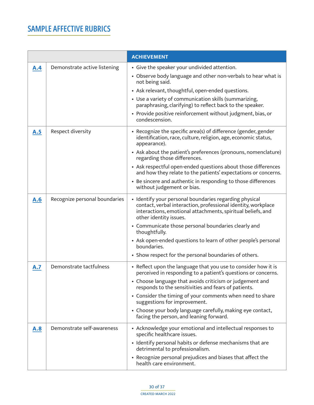<span id="page-29-4"></span><span id="page-29-3"></span><span id="page-29-2"></span><span id="page-29-1"></span><span id="page-29-0"></span>

|     |                               | <b>ACHIEVEMENT</b>                                                                                                                                                                                                                                                                                                                                                                                                                                                                   |
|-----|-------------------------------|--------------------------------------------------------------------------------------------------------------------------------------------------------------------------------------------------------------------------------------------------------------------------------------------------------------------------------------------------------------------------------------------------------------------------------------------------------------------------------------|
| A.4 | Demonstrate active listening  | • Give the speaker your undivided attention.<br>• Observe body language and other non-verbals to hear what is<br>not being said.<br>• Ask relevant, thoughtful, open-ended questions.<br>• Use a variety of communication skills (summarizing,<br>paraphrasing, clarifying) to reflect back to the speaker.<br>• Provide positive reinforcement without judgment, bias, or<br>condescension.                                                                                         |
| A.5 | Respect diversity             | • Recognize the specific area(s) of difference (gender, gender<br>identification, race, culture, religion, age, economic status,<br>appearance).<br>• Ask about the patient's preferences (pronouns, nomenclature)<br>regarding those differences.<br>• Ask respectful open-ended questions about those differences<br>and how they relate to the patients' expectations or concerns.<br>• Be sincere and authentic in responding to those differences<br>without judgement or bias. |
| A.6 | Recognize personal boundaries | • Identify your personal boundaries regarding physical<br>contact, verbal interaction, professional identity, workplace<br>interactions, emotional attachments, spiritual beliefs, and<br>other identity issues.<br>• Communicate those personal boundaries clearly and<br>thoughtfully.<br>• Ask open-ended questions to learn of other people's personal<br>boundaries.<br>• Show respect for the personal boundaries of others.                                                   |
| A.7 | Demonstrate tactfulness       | • Reflect upon the language that you use to consider how it is<br>perceived in responding to a patient's questions or concerns.<br>• Choose language that avoids criticism or judgement and<br>responds to the sensitivities and fears of patients.<br>• Consider the timing of your comments when need to share<br>suggestions for improvement.<br>• Choose your body language carefully, making eye contact,<br>facing the person, and leaning forward.                            |
| A.8 | Demonstrate self-awareness    | • Acknowledge your emotional and intellectual responses to<br>specific healthcare issues.<br>• Identify personal habits or defense mechanisms that are<br>detrimental to professionalism.<br>• Recognize personal prejudices and biases that affect the<br>health care environment.                                                                                                                                                                                                  |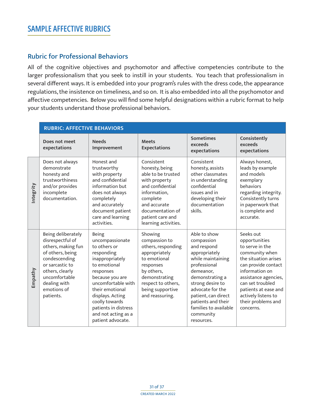#### <span id="page-30-0"></span>Rubric for Professional Behaviors

All of the cognitive objectives and psychomotor and affective competencies contribute to the larger professionalism that you seek to instill in your students. You teach that professionalism in several different ways. It is embedded into your program's rules with the dress code, the appearance regulations, the insistence on timeliness, and so on. It is also embedded into all the psychomotor and affective competencies. Below you will find some helpful designations within a rubric format to help your students understand those professional behaviors.

|          | <b>RUBRIC: AFFECTIVE BEHAVIORS</b>                                                                                                                                                                   |                                                                                                                                                                                                                                                                                     |                                                                                                                                                                                                     |                                                                                                                                                                                                                                                                          |                                                                                                                                                                                                                                                                |
|----------|------------------------------------------------------------------------------------------------------------------------------------------------------------------------------------------------------|-------------------------------------------------------------------------------------------------------------------------------------------------------------------------------------------------------------------------------------------------------------------------------------|-----------------------------------------------------------------------------------------------------------------------------------------------------------------------------------------------------|--------------------------------------------------------------------------------------------------------------------------------------------------------------------------------------------------------------------------------------------------------------------------|----------------------------------------------------------------------------------------------------------------------------------------------------------------------------------------------------------------------------------------------------------------|
|          | Does not meet<br>expectations                                                                                                                                                                        | <b>Needs</b><br>Improvement                                                                                                                                                                                                                                                         | <b>Meets</b><br><b>Expectations</b>                                                                                                                                                                 | <b>Sometimes</b><br>exceeds<br>expectations                                                                                                                                                                                                                              | Consistently<br>exceeds<br>expectations                                                                                                                                                                                                                        |
| ntegrity | Does not always<br>demonstrate<br>honesty and<br>trustworthiness<br>and/or provides<br>incomplete<br>documentation.                                                                                  | Honest and<br>trustworthy<br>with property<br>and confidential<br>information but<br>does not always<br>completely<br>and accurately<br>document patient<br>care and learning<br>activities.                                                                                        | Consistent<br>honesty, being<br>able to be trusted<br>with property<br>and confidential<br>information,<br>complete<br>and accurate<br>documentation of<br>patient care and<br>learning activities. | Consistent<br>honesty, assists<br>other classmates<br>in understanding<br>confidential<br>issues and in<br>developing their<br>documentation<br>skills.                                                                                                                  | Always honest,<br>leads by example<br>and models<br>exemplary<br><b>behaviors</b><br>regarding integrity.<br>Consistently turns<br>in paperwork that<br>is complete and<br>accurate.                                                                           |
| Empathy  | Being deliberately<br>disrespectful of<br>others, making fun<br>of others, being<br>condescending<br>or sarcastic to<br>others, clearly<br>uncomfortable<br>dealing with<br>emotions of<br>patients. | <b>Being</b><br>uncompassionate<br>to others or<br>responding<br>inappropriately<br>to emotional<br>responses<br>because you are<br>uncomfortable with<br>their emotional<br>displays. Acting<br>coolly towards<br>patients in distress<br>and not acting as a<br>patient advocate. | Showing<br>compassion to<br>others, responding<br>appropriately<br>to emotional<br>responses<br>by others,<br>demonstrating<br>respect to others,<br>being supportive<br>and reassuring.            | Able to show<br>compassion<br>and respond<br>appropriately<br>while maintaining<br>professional<br>demeanor,<br>demonstrating a<br>strong desire to<br>advocate for the<br>patient, can direct<br>patients and their<br>families to available<br>community<br>resources. | Seeks out<br>opportunities<br>to serve in the<br>community when<br>the situation arises<br>can provide contact<br>information on<br>assistance agencies,<br>can set troubled<br>patients at ease and<br>actively listens to<br>their problems and<br>concerns. |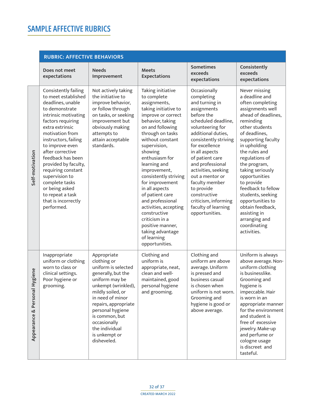<span id="page-31-0"></span>

|                                      | <b>RUBRIC: AFFECTIVE BEHAVIORS</b>                                                                                                                                                                                                                                                                                                                                                                                     |                                                                                                                                                                                                                                                                                           |                                                                                                                                                                                                                                                                                                                                                                                                                                                                                                      |                                                                                                                                                                                                                                                                                                                                                                                                           |                                                                                                                                                                                                                                                                                                                                                                                                                                               |
|--------------------------------------|------------------------------------------------------------------------------------------------------------------------------------------------------------------------------------------------------------------------------------------------------------------------------------------------------------------------------------------------------------------------------------------------------------------------|-------------------------------------------------------------------------------------------------------------------------------------------------------------------------------------------------------------------------------------------------------------------------------------------|------------------------------------------------------------------------------------------------------------------------------------------------------------------------------------------------------------------------------------------------------------------------------------------------------------------------------------------------------------------------------------------------------------------------------------------------------------------------------------------------------|-----------------------------------------------------------------------------------------------------------------------------------------------------------------------------------------------------------------------------------------------------------------------------------------------------------------------------------------------------------------------------------------------------------|-----------------------------------------------------------------------------------------------------------------------------------------------------------------------------------------------------------------------------------------------------------------------------------------------------------------------------------------------------------------------------------------------------------------------------------------------|
|                                      | Does not meet<br>expectations                                                                                                                                                                                                                                                                                                                                                                                          | <b>Needs</b><br>Improvement                                                                                                                                                                                                                                                               | <b>Meets</b><br><b>Expectations</b>                                                                                                                                                                                                                                                                                                                                                                                                                                                                  | <b>Sometimes</b><br>exceeds<br>expectations                                                                                                                                                                                                                                                                                                                                                               | Consistently<br>exceeds<br>expectations                                                                                                                                                                                                                                                                                                                                                                                                       |
| Self-motivation                      | Consistently failing<br>to meet established<br>deadlines, unable<br>to demonstrate<br>intrinsic motivating<br>factors requiring<br>extra extrinsic<br>motivation from<br>instructors, failing<br>to improve even<br>after corrective<br>feedback has been<br>provided by faculty,<br>requiring constant<br>supervision to<br>complete tasks<br>or being asked<br>to repeat a task<br>that is incorrectly<br>performed. | Not actively taking<br>the initiative to<br>improve behavior,<br>or follow through<br>on tasks, or seeking<br>improvement but<br>obviously making<br>attempts to<br>attain acceptable<br>standards.                                                                                       | Taking initiative<br>to complete<br>assignments,<br>taking initiative to<br>improve or correct<br>behavior, taking<br>on and following<br>through on tasks<br>without constant<br>supervision,<br>showing<br>enthusiasm for<br>learning and<br>improvement,<br>consistently striving<br>for improvement<br>in all aspects<br>of patient care<br>and professional<br>activities, accepting<br>constructive<br>criticism in a<br>positive manner,<br>taking advantage<br>of learning<br>opportunities. | Occasionally<br>completing<br>and turning in<br>assignments<br>before the<br>scheduled deadline,<br>volunteering for<br>additional duties,<br>consistently striving<br>for excellence<br>in all aspects<br>of patient care<br>and professional<br>activities, seeking<br>out a mentor or<br>faculty member<br>to provide<br>constructive<br>criticism, informing<br>faculty of learning<br>opportunities. | Never missing<br>a deadline and<br>often completing<br>assignments well<br>ahead of deadlines,<br>reminding<br>other students<br>of deadlines,<br>supporting faculty<br>in upholding<br>the rules and<br>regulations of<br>the program,<br>taking seriously<br>opportunities<br>to provide<br>feedback to fellow<br>students, seeking<br>opportunities to<br>obtain feedback,<br>assisting in<br>arranging and<br>coordinating<br>activities. |
| giene<br>Personal Hy<br>Appearance & | Inappropriate<br>uniform or clothing<br>worn to class or<br>clinical settings.<br>Poor hygiene or<br>grooming.                                                                                                                                                                                                                                                                                                         | Appropriate<br>clothing or<br>uniform is selected<br>generally, but the<br>uniform may be<br>unkempt (wrinkled),<br>mildly soiled, or<br>in need of minor<br>repairs, appropriate<br>personal hygiene<br>is common, but<br>occasionally<br>the individual<br>is unkempt or<br>disheveled. | Clothing and<br>uniform is<br>appropriate, neat,<br>clean and well-<br>maintained, good<br>personal hygiene<br>and grooming.                                                                                                                                                                                                                                                                                                                                                                         | Clothing and<br>uniform are above<br>average. Uniform<br>is pressed and<br>business casual<br>is chosen when<br>uniform is not worn.<br>Grooming and<br>hygiene is good or<br>above average.                                                                                                                                                                                                              | Uniform is always<br>above average. Non-<br>uniform clothing<br>is businesslike.<br>Grooming and<br>hygiene is<br>impeccable. Hair<br>is worn in an<br>appropriate manner<br>for the environment<br>and student is<br>free of excessive<br>jewelry. Make-up<br>and perfume or<br>cologne usage<br>is discreet and<br>tasteful.                                                                                                                |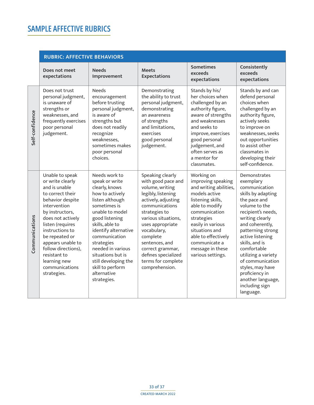<span id="page-32-0"></span>

|                 | <b>RUBRIC: AFFECTIVE BEHAVIORS</b>                                                                                                                                                                                                                                                                                         |                                                                                                                                                                                                                                                                                                                                            |                                                                                                                                                                                                                                                                                                                      |                                                                                                                                                                                                                                                                           |                                                                                                                                                                                                                                                                                                                                                                              |
|-----------------|----------------------------------------------------------------------------------------------------------------------------------------------------------------------------------------------------------------------------------------------------------------------------------------------------------------------------|--------------------------------------------------------------------------------------------------------------------------------------------------------------------------------------------------------------------------------------------------------------------------------------------------------------------------------------------|----------------------------------------------------------------------------------------------------------------------------------------------------------------------------------------------------------------------------------------------------------------------------------------------------------------------|---------------------------------------------------------------------------------------------------------------------------------------------------------------------------------------------------------------------------------------------------------------------------|------------------------------------------------------------------------------------------------------------------------------------------------------------------------------------------------------------------------------------------------------------------------------------------------------------------------------------------------------------------------------|
|                 | Does not meet<br>expectations                                                                                                                                                                                                                                                                                              | <b>Needs</b><br>Improvement                                                                                                                                                                                                                                                                                                                | <b>Meets</b><br><b>Expectations</b>                                                                                                                                                                                                                                                                                  | <b>Sometimes</b><br>exceeds<br>expectations                                                                                                                                                                                                                               | Consistently<br>exceeds<br>expectations                                                                                                                                                                                                                                                                                                                                      |
| Self-confidence | Does not trust<br>personal judgment,<br>is unaware of<br>strengths or<br>weaknesses, and<br>frequently exercises<br>poor personal<br>judgement.                                                                                                                                                                            | <b>Needs</b><br>encouragement<br>before trusting<br>personal judgment,<br>is aware of<br>strengths but<br>does not readily<br>recognize<br>weaknesses,<br>sometimes makes<br>poor personal<br>choices.                                                                                                                                     | Demonstrating<br>the ability to trust<br>personal judgment,<br>demonstrating<br>an awareness<br>of strengths<br>and limitations,<br>exercises<br>good personal<br>judgement.                                                                                                                                         | Stands by his/<br>her choices when<br>challenged by an<br>authority figure,<br>aware of strengths<br>and weaknesses<br>and seeks to<br>improve, exercises<br>good personal<br>judgement, and<br>often serves as<br>a mentor for<br>classmates.                            | Stands by and can<br>defend personal<br>choices when<br>challenged by an<br>authority figure,<br>actively seeks<br>to improve on<br>weaknesses, seeks<br>out opportunities<br>to assist other<br>classmates in<br>developing their<br>self-confidence.                                                                                                                       |
| Communications  | Unable to speak<br>or write clearly<br>and is unable<br>to correct their<br>behavior despite<br>intervention<br>by instructors,<br>does not actively<br>listen (requires<br>instructions to<br>be repeated or<br>appears unable to<br>follow directions),<br>resistant to<br>learning new<br>communications<br>strategies. | Needs work to<br>speak or write<br>clearly, knows<br>how to actively<br>listen although<br>sometimes is<br>unable to model<br>good listening<br>skills, able to<br>identify alternative<br>communication<br>strategies<br>needed in various<br>situations but is<br>still developing the<br>skill to perform<br>alternative<br>strategies. | Speaking clearly<br>with good pace and<br>volume, writing<br>legibly, listening<br>actively, adjusting<br>communications<br>strategies to<br>various situations,<br>uses appropriate<br>vocabulary,<br>complete<br>sentences, and<br>correct grammar,<br>defines specialized<br>terms for complete<br>comprehension. | Working on<br>improving speaking<br>and writing abilities,<br>models active<br>listening skills,<br>able to modify<br>communication<br>strategies<br>easily in various<br>situations and<br>able to effectively<br>communicate a<br>message in these<br>various settings. | Demonstrates<br>exemplary<br>communication<br>skills by adapting<br>the pace and<br>volume to the<br>recipient's needs,<br>writing clearly<br>and coherently,<br>patterning strong<br>active listening<br>skills, and is<br>comfortable<br>utilizing a variety<br>of communication<br>styles, may have<br>proficiency in<br>another language,<br>including sign<br>language. |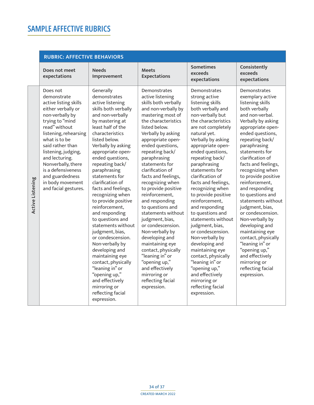<span id="page-33-0"></span>

|                  | <b>RUBRIC: AFFECTIVE BEHAVIORS</b>                                                                                                                                                                                                                                                                                                              |                                                                                                                                                                                                                                                                                                                                                                                                                                                                                                                                                                                                                                                                                                 |                                                                                                                                                                                                                                                                                                                                                                                                                                                                                                                                                                                                                                                                        |                                                                                                                                                                                                                                                                                                                                                                                                                                                                                                                                                                                                                                                                                   |                                                                                                                                                                                                                                                                                                                                                                                                                                                                                                                                                                                                                    |
|------------------|-------------------------------------------------------------------------------------------------------------------------------------------------------------------------------------------------------------------------------------------------------------------------------------------------------------------------------------------------|-------------------------------------------------------------------------------------------------------------------------------------------------------------------------------------------------------------------------------------------------------------------------------------------------------------------------------------------------------------------------------------------------------------------------------------------------------------------------------------------------------------------------------------------------------------------------------------------------------------------------------------------------------------------------------------------------|------------------------------------------------------------------------------------------------------------------------------------------------------------------------------------------------------------------------------------------------------------------------------------------------------------------------------------------------------------------------------------------------------------------------------------------------------------------------------------------------------------------------------------------------------------------------------------------------------------------------------------------------------------------------|-----------------------------------------------------------------------------------------------------------------------------------------------------------------------------------------------------------------------------------------------------------------------------------------------------------------------------------------------------------------------------------------------------------------------------------------------------------------------------------------------------------------------------------------------------------------------------------------------------------------------------------------------------------------------------------|--------------------------------------------------------------------------------------------------------------------------------------------------------------------------------------------------------------------------------------------------------------------------------------------------------------------------------------------------------------------------------------------------------------------------------------------------------------------------------------------------------------------------------------------------------------------------------------------------------------------|
|                  | Does not meet<br>expectations                                                                                                                                                                                                                                                                                                                   | <b>Needs</b><br>Improvement                                                                                                                                                                                                                                                                                                                                                                                                                                                                                                                                                                                                                                                                     | <b>Meets</b><br><b>Expectations</b>                                                                                                                                                                                                                                                                                                                                                                                                                                                                                                                                                                                                                                    | <b>Sometimes</b><br>exceeds<br>expectations                                                                                                                                                                                                                                                                                                                                                                                                                                                                                                                                                                                                                                       | Consistently<br>exceeds<br>expectations                                                                                                                                                                                                                                                                                                                                                                                                                                                                                                                                                                            |
| Active Listening | Does not<br>demonstrate<br>active listing skills<br>either verbally or<br>non-verbally by<br>trying to "mind<br>read" without<br>listening, rehearsing<br>what is to be<br>said rather than<br>listening, judging,<br>and lecturing.<br>Nonverbally, there<br>is a defensiveness<br>and guardedness<br>in body movement<br>and facial gestures. | Generally<br>demonstrates<br>active listening<br>skills both verbally<br>and non-verbally<br>by mastering at<br>least half of the<br>characteristics<br>listed below.<br>Verbally by asking<br>appropriate open-<br>ended questions,<br>repeating back/<br>paraphrasing<br>statements for<br>clarification of<br>facts and feelings,<br>recognizing when<br>to provide positive<br>reinforcement.<br>and responding<br>to questions and<br>statements without<br>judgment, bias,<br>or condescension.<br>Non-verbally by<br>developing and<br>maintaining eye<br>contact, physically<br>"leaning in" or<br>"opening up,"<br>and effectively<br>mirroring or<br>reflecting facial<br>expression. | Demonstrates<br>active listening<br>skills both verbally<br>and non-verbally by<br>mastering most of<br>the characteristics<br>listed below.<br>Verbally by asking<br>appropriate open-<br>ended questions,<br>repeating back/<br>paraphrasing<br>statements for<br>clarification of<br>facts and feelings,<br>recognizing when<br>to provide positive<br>reinforcement,<br>and responding<br>to questions and<br>statements without<br>judgment, bias,<br>or condescension.<br>Non-verbally by<br>developing and<br>maintaining eye<br>contact, physically<br>"leaning in" or<br>"opening up,"<br>and effectively<br>mirroring or<br>reflecting facial<br>expression. | Demonstrates<br>strong active<br>listening skills<br>both verbally and<br>non-verbally but<br>the characteristics<br>are not completely<br>natural yet.<br>Verbally by asking<br>appropriate open-<br>ended questions,<br>repeating back/<br>paraphrasing<br>statements for<br>clarification of<br>facts and feelings,<br>recognizing when<br>to provide positive<br>reinforcement,<br>and responding<br>to questions and<br>statements without<br>judgment, bias,<br>or condescension.<br>Non-verbally by<br>developing and<br>maintaining eye<br>contact, physically<br>"leaning in" or<br>"opening up,"<br>and effectively<br>mirroring or<br>reflecting facial<br>expression. | Demonstrates<br>exemplary active<br>listening skills<br>both verbally<br>and non-verbal.<br>Verbally by asking<br>appropriate open-<br>ended questions,<br>repeating back/<br>paraphrasing<br>statements for<br>clarification of<br>facts and feelings,<br>recognizing when<br>to provide positive<br>reinforcement,<br>and responding<br>to questions and<br>statements without<br>judgment, bias,<br>or condescension.<br>Non-verbally by<br>developing and<br>maintaining eye<br>contact, physically<br>"leaning in" or<br>"opening up,"<br>and effectively<br>mirroring or<br>reflecting facial<br>expression. |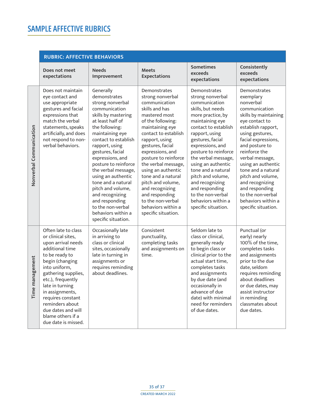<span id="page-34-0"></span>

|                         | <b>RUBRIC: AFFECTIVE BEHAVIORS</b>                                                                                                                                                                                                                                                                                                   |                                                                                                                                                                                                                                                                                                                                                                                                                                                         |                                                                                                                                                                                                                                                                                                                                                                                                                                       |                                                                                                                                                                                                                                                                                                                                                                                                                         |                                                                                                                                                                                                                                                                                                                                                                                                  |
|-------------------------|--------------------------------------------------------------------------------------------------------------------------------------------------------------------------------------------------------------------------------------------------------------------------------------------------------------------------------------|---------------------------------------------------------------------------------------------------------------------------------------------------------------------------------------------------------------------------------------------------------------------------------------------------------------------------------------------------------------------------------------------------------------------------------------------------------|---------------------------------------------------------------------------------------------------------------------------------------------------------------------------------------------------------------------------------------------------------------------------------------------------------------------------------------------------------------------------------------------------------------------------------------|-------------------------------------------------------------------------------------------------------------------------------------------------------------------------------------------------------------------------------------------------------------------------------------------------------------------------------------------------------------------------------------------------------------------------|--------------------------------------------------------------------------------------------------------------------------------------------------------------------------------------------------------------------------------------------------------------------------------------------------------------------------------------------------------------------------------------------------|
|                         | Does not meet<br>expectations                                                                                                                                                                                                                                                                                                        | <b>Needs</b><br>Improvement                                                                                                                                                                                                                                                                                                                                                                                                                             | <b>Meets</b><br><b>Expectations</b>                                                                                                                                                                                                                                                                                                                                                                                                   | <b>Sometimes</b><br>exceeds<br>expectations                                                                                                                                                                                                                                                                                                                                                                             | Consistently<br>exceeds<br>expectations                                                                                                                                                                                                                                                                                                                                                          |
| Nonverbal Communication | Does not maintain<br>eye contact and<br>use appropriate<br>gestures and facial<br>expressions that<br>match the verbal<br>statements, speaks<br>artificially, and does<br>not respond to non-<br>verbal behaviors.                                                                                                                   | Generally<br>demonstrates<br>strong nonverbal<br>communication<br>skills by mastering<br>at least half of<br>the following:<br>maintaining eye<br>contact to establish<br>rapport, using<br>gestures, facial<br>expressions, and<br>posture to reinforce<br>the verbal message,<br>using an authentic<br>tone and a natural<br>pitch and volume,<br>and recognizing<br>and responding<br>to the non-verbal<br>behaviors within a<br>specific situation. | Demonstrates<br>strong nonverbal<br>communication<br>skills and has<br>mastered most<br>of the following:<br>maintaining eye<br>contact to establish<br>rapport, using<br>gestures, facial<br>expressions, and<br>posture to reinforce<br>the verbal message,<br>using an authentic<br>tone and a natural<br>pitch and volume,<br>and recognizing<br>and responding<br>to the non-verbal<br>behaviors within a<br>specific situation. | Demonstrates<br>strong nonverbal<br>communication<br>skills, but needs<br>more practice, by<br>maintaining eye<br>contact to establish<br>rapport, using<br>gestures, facial<br>expressions, and<br>posture to reinforce<br>the verbal message,<br>using an authentic<br>tone and a natural<br>pitch and volume,<br>and recognizing<br>and responding<br>to the non-verbal<br>behaviors within a<br>specific situation. | Demonstrates<br>exemplary<br>nonverbal<br>communication<br>skills by maintaining<br>eye contact to<br>establish rapport,<br>using gestures,<br>facial expressions,<br>and posture to<br>reinforce the<br>verbal message,<br>using an authentic<br>tone and a natural<br>pitch and volume,<br>and recognizing<br>and responding<br>to the non-verbal<br>behaviors within a<br>specific situation. |
| Time management         | Often late to class<br>or clinical sites,<br>upon arrival needs<br>additional time<br>to be ready to<br>begin (changing<br>into uniform,<br>gathering supplies,<br>etc.), frequently<br>late in turning<br>in assignments,<br>requires constant<br>reminders about<br>due dates and will<br>blame others if a<br>due date is missed. | Occasionally late<br>in arriving to<br>class or clinical<br>sites, occasionally<br>late in turning in<br>assignments or<br>requires reminding<br>about deadlines.                                                                                                                                                                                                                                                                                       | Consistent<br>punctuality,<br>completing tasks<br>and assignments on<br>time.                                                                                                                                                                                                                                                                                                                                                         | Seldom late to<br>class or clinical,<br>generally ready<br>to begin class or<br>clinical prior to the<br>actual start time,<br>completes tasks<br>and assignments<br>by due date (and<br>occasionally in<br>advance of due<br>date) with minimal<br>need for reminders<br>of due dates.                                                                                                                                 | Punctual (or<br>early) nearly<br>100% of the time,<br>completes tasks<br>and assignments<br>prior to the due<br>date, seldom<br>requires reminding<br>about deadlines<br>or due dates, may<br>assist instructor<br>in reminding<br>classmates about<br>due dates.                                                                                                                                |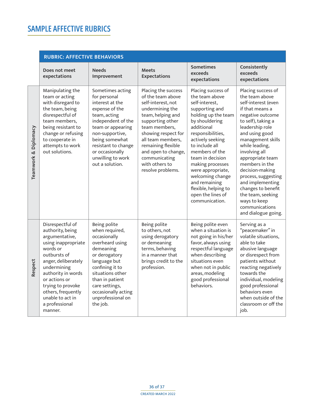<span id="page-35-0"></span>

|                      | <b>RUBRIC: AFFECTIVE BEHAVIORS</b>                                                                                                                                                                                                                                                 |                                                                                                                                                                                                                                                         |                                                                                                                                                                                                                                                                                              |                                                                                                                                                                                                                                                                                                                                                                               |                                                                                                                                                                                                                                                                                                                                                                                                                               |
|----------------------|------------------------------------------------------------------------------------------------------------------------------------------------------------------------------------------------------------------------------------------------------------------------------------|---------------------------------------------------------------------------------------------------------------------------------------------------------------------------------------------------------------------------------------------------------|----------------------------------------------------------------------------------------------------------------------------------------------------------------------------------------------------------------------------------------------------------------------------------------------|-------------------------------------------------------------------------------------------------------------------------------------------------------------------------------------------------------------------------------------------------------------------------------------------------------------------------------------------------------------------------------|-------------------------------------------------------------------------------------------------------------------------------------------------------------------------------------------------------------------------------------------------------------------------------------------------------------------------------------------------------------------------------------------------------------------------------|
|                      | Does not meet<br>expectations                                                                                                                                                                                                                                                      | <b>Needs</b><br>Improvement                                                                                                                                                                                                                             | <b>Meets</b><br><b>Expectations</b>                                                                                                                                                                                                                                                          | <b>Sometimes</b><br>exceeds<br>expectations                                                                                                                                                                                                                                                                                                                                   | Consistently<br>exceeds<br>expectations                                                                                                                                                                                                                                                                                                                                                                                       |
| Teamwork & Diplomacy | Manipulating the<br>team or acting<br>with disregard to<br>the team, being<br>disrespectful of<br>team members,<br>being resistant to<br>change or refusing<br>to cooperate in<br>attempts to work<br>out solutions.                                                               | Sometimes acting<br>for personal<br>interest at the<br>expense of the<br>team, acting<br>independent of the<br>team or appearing<br>non-supportive,<br>being somewhat<br>resistant to change<br>or occasionally<br>unwilling to work<br>out a solution. | Placing the success<br>of the team above<br>self-interest, not<br>undermining the<br>team, helping and<br>supporting other<br>team members,<br>showing respect for<br>all team members,<br>remaining flexible<br>and open to change,<br>communicating<br>with others to<br>resolve problems. | Placing success of<br>the team above<br>self-interest,<br>supporting and<br>holding up the team<br>by shouldering<br>additional<br>responsibilities,<br>actively seeking<br>to include all<br>members of the<br>team in decision<br>making processes<br>were appropriate,<br>welcoming change<br>and remaining<br>flexible, helping to<br>open the lines of<br>communication. | Placing success of<br>the team above<br>self-interest (even<br>if that means a<br>negative outcome<br>to self), taking a<br>leadership role<br>and using good<br>management skills<br>while leading,<br>involving all<br>appropriate team<br>members in the<br>decision-making<br>process, suggesting<br>and implementing<br>changes to benefit<br>the team, seeking<br>ways to keep<br>communications<br>and dialogue going. |
| Respect              | Disrespectful of<br>authority, being<br>argumentative,<br>using inappropriate<br>words or<br>outbursts of<br>anger, deliberately<br>undermining<br>authority in words<br>or actions or<br>trying to provoke<br>others, frequently<br>unable to act in<br>a professional<br>manner. | Being polite<br>when required,<br>occasionally<br>overheard using<br>demeaning<br>or derogatory<br>language but<br>confining it to<br>situations other<br>than in patient<br>care settings,<br>occasionally acting<br>unprofessional on<br>the job.     | Being polite<br>to others, not<br>using derogatory<br>or demeaning<br>terms, behaving<br>in a manner that<br>brings credit to the<br>profession.                                                                                                                                             | Being polite even<br>when a situation is<br>not going in his/her<br>favor, always using<br>respectful language<br>when describing<br>situations even<br>when not in public<br>areas, modeling<br>good professional<br>behaviors.                                                                                                                                              | Serving as a<br>"peacemaker" in<br>volatile situations,<br>able to take<br>abusive language<br>or disrespect from<br>patients without<br>reacting negatively<br>towards the<br>individual, modeling<br>good professional<br>behaviors even<br>when outside of the<br>classroom or off the<br>job.                                                                                                                             |